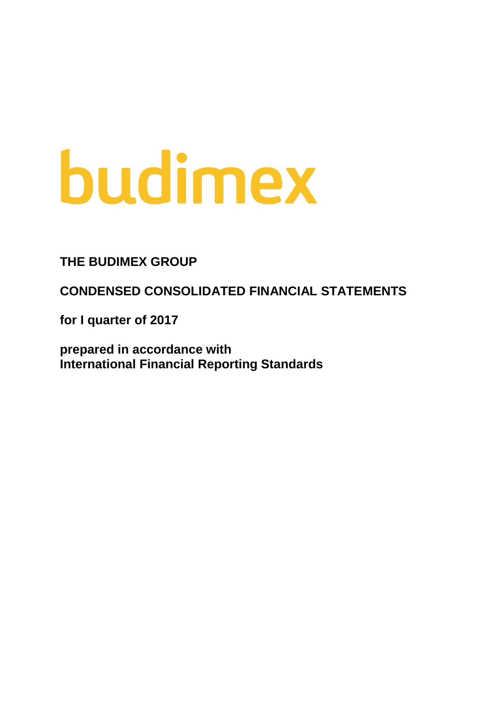# budimex

**THE BUDIMEX GROUP**

**CONDENSED CONSOLIDATED FINANCIAL STATEMENTS**

**for I quarter of 2017**

**prepared in accordance with International Financial Reporting Standards**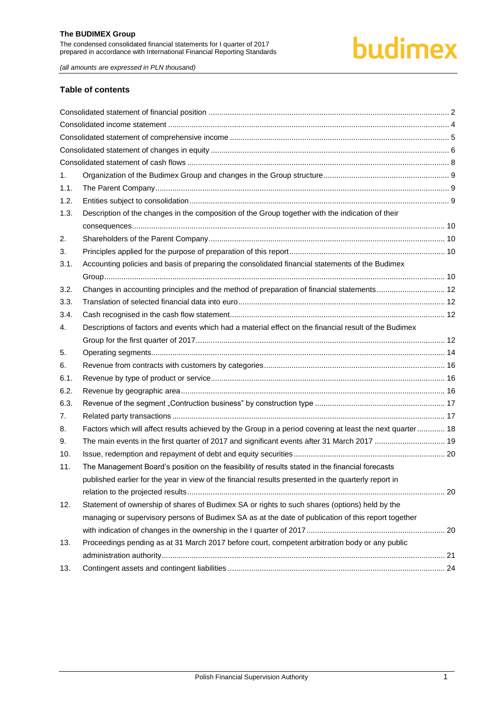## budimex

*(all amounts are expressed in PLN thousand)*

#### **Table of contents**

| 1.   |                                                                                                            |  |
|------|------------------------------------------------------------------------------------------------------------|--|
| 1.1. |                                                                                                            |  |
| 1.2. |                                                                                                            |  |
| 1.3. | Description of the changes in the composition of the Group together with the indication of their           |  |
|      |                                                                                                            |  |
| 2.   |                                                                                                            |  |
| 3.   |                                                                                                            |  |
| 3.1. | Accounting policies and basis of preparing the consolidated financial statements of the Budimex            |  |
|      |                                                                                                            |  |
| 3.2. | Changes in accounting principles and the method of preparation of financial statements 12                  |  |
| 3.3. |                                                                                                            |  |
| 3.4. |                                                                                                            |  |
| 4.   | Descriptions of factors and events which had a material effect on the financial result of the Budimex      |  |
|      |                                                                                                            |  |
| 5.   |                                                                                                            |  |
| 6.   |                                                                                                            |  |
| 6.1. |                                                                                                            |  |
| 6.2. |                                                                                                            |  |
| 6.3. |                                                                                                            |  |
| 7.   |                                                                                                            |  |
| 8.   | Factors which will affect results achieved by the Group in a period covering at least the next quarter  18 |  |
| 9.   | The main events in the first quarter of 2017 and significant events after 31 March 2017  19                |  |
| 10.  |                                                                                                            |  |
| 11.  | The Management Board's position on the feasibility of results stated in the financial forecasts            |  |
|      | published earlier for the year in view of the financial results presented in the quarterly report in       |  |
|      |                                                                                                            |  |
| 12.  | Statement of ownership of shares of Budimex SA or rights to such shares (options) held by the              |  |
|      | managing or supervisory persons of Budimex SA as at the date of publication of this report together        |  |
|      |                                                                                                            |  |
| 13.  | Proceedings pending as at 31 March 2017 before court, competent arbitration body or any public             |  |
|      |                                                                                                            |  |
| 13.  |                                                                                                            |  |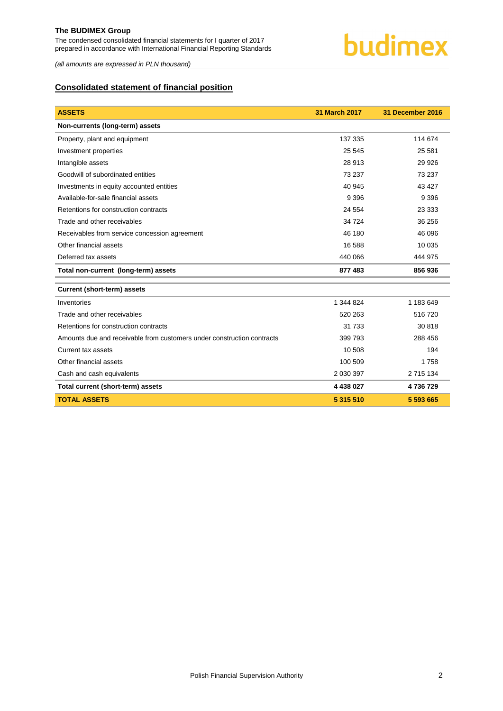

*(all amounts are expressed in PLN thousand)*

#### <span id="page-2-0"></span>**Consolidated statement of financial position**

| <b>ASSETS</b>                                                          | 31 March 2017 | 31 December 2016 |
|------------------------------------------------------------------------|---------------|------------------|
| Non-currents (long-term) assets                                        |               |                  |
| Property, plant and equipment                                          | 137 335       | 114 674          |
| Investment properties                                                  | 25 545        | 25 5 81          |
| Intangible assets                                                      | 28 913        | 29 9 26          |
| Goodwill of subordinated entities                                      | 73 237        | 73 237           |
| Investments in equity accounted entities                               | 40 945        | 43 4 27          |
| Available-for-sale financial assets                                    | 9 3 9 6       | 9 3 9 6          |
| Retentions for construction contracts                                  | 24 554        | 23 333           |
| Trade and other receivables                                            | 34 724        | 36 256           |
| Receivables from service concession agreement                          | 46 180        | 46 096           |
| Other financial assets                                                 | 16 588        | 10 0 35          |
| Deferred tax assets                                                    | 440 066       | 444 975          |
| Total non-current (long-term) assets                                   | 877 483       | 856 936          |
| <b>Current (short-term) assets</b>                                     |               |                  |
| Inventories                                                            | 1 344 824     | 1 183 649        |
| Trade and other receivables                                            | 520 263       | 516720           |
| Retentions for construction contracts                                  | 31 733        | 30 818           |
| Amounts due and receivable from customers under construction contracts | 399 793       | 288 456          |
| Current tax assets                                                     | 10 508        | 194              |
| Other financial assets                                                 | 100 509       | 1758             |
| Cash and cash equivalents                                              | 2 030 397     | 2 715 134        |
| Total current (short-term) assets                                      | 4 438 027     | 4736729          |
| <b>TOTAL ASSETS</b>                                                    | 5 315 510     | 5 593 665        |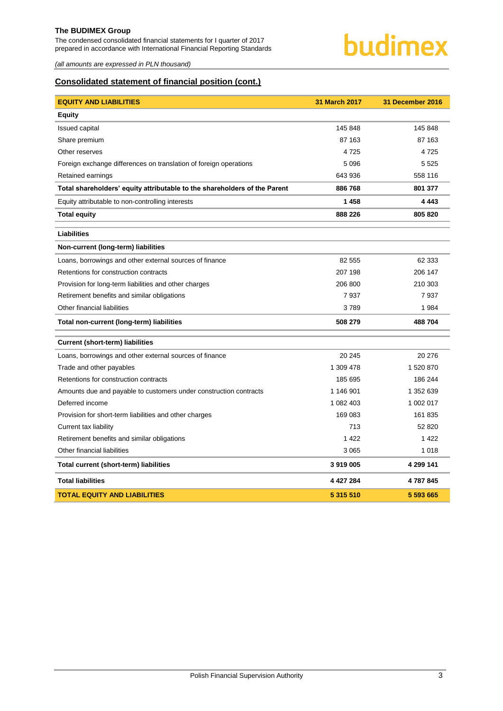The condensed consolidated financial statements for I quarter of 2017 prepared in accordance with International Financial Reporting Standards

### budimex

*(all amounts are expressed in PLN thousand)*

#### **Consolidated statement of financial position (cont.)**

| <b>EQUITY AND LIABILITIES</b>                                             | <b>31 March 2017</b> | 31 December 2016 |
|---------------------------------------------------------------------------|----------------------|------------------|
| <b>Equity</b>                                                             |                      |                  |
| <b>Issued capital</b>                                                     | 145 848              | 145 848          |
| Share premium                                                             | 87 163               | 87 163           |
| Other reserves                                                            | 4725                 | 4725             |
| Foreign exchange differences on translation of foreign operations         | 5 0 9 6              | 5 5 2 5          |
| Retained earnings                                                         | 643 936              | 558 116          |
| Total shareholders' equity attributable to the shareholders of the Parent | 886 768              | 801 377          |
| Equity attributable to non-controlling interests                          | 1 4 5 8              | 4 4 4 3          |
| <b>Total equity</b>                                                       | 888 226              | 805 820          |
| <b>Liabilities</b>                                                        |                      |                  |
| Non-current (long-term) liabilities                                       |                      |                  |
| Loans, borrowings and other external sources of finance                   | 82 555               | 62 333           |
| Retentions for construction contracts                                     | 207 198              | 206 147          |
| Provision for long-term liabilities and other charges                     | 206 800              | 210 303          |
| Retirement benefits and similar obligations                               | 7937                 | 7937             |
| Other financial liabilities                                               | 3789                 | 1984             |
| Total non-current (long-term) liabilities                                 | 508 279              | 488 704          |
| <b>Current (short-term) liabilities</b>                                   |                      |                  |
| Loans, borrowings and other external sources of finance                   | 20 245               | 20 276           |
| Trade and other payables                                                  | 1 309 478            | 1 520 870        |
| Retentions for construction contracts                                     | 185 695              | 186 244          |
| Amounts due and payable to customers under construction contracts         | 1 146 901            | 1 352 639        |
| Deferred income                                                           | 1 082 403            | 1 002 017        |
| Provision for short-term liabilities and other charges                    | 169 083              | 161 835          |
| Current tax liability                                                     | 713                  | 52 820           |
| Retirement benefits and similar obligations                               | 1 4 2 2              | 1 4 2 2          |
| Other financial liabilities                                               | 3 0 6 5              | 1 0 1 8          |
| Total current (short-term) liabilities                                    | 3919005              | 4 299 141        |
| <b>Total liabilities</b>                                                  | 4 4 2 7 2 8 4        | 4787845          |
| <b>TOTAL EQUITY AND LIABILITIES</b>                                       | 5 315 510            | 5 593 665        |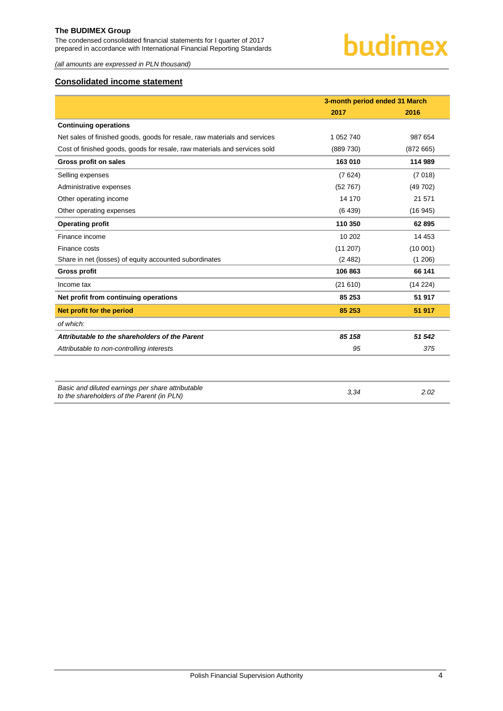The condensed consolidated financial statements for I quarter of 2017 prepared in accordance with International Financial Reporting Standards

*(all amounts are expressed in PLN thousand)*

#### <span id="page-4-0"></span>**Consolidated income statement**

|                                                                                                 | 3-month period ended 31 March |          |
|-------------------------------------------------------------------------------------------------|-------------------------------|----------|
|                                                                                                 | 2017                          | 2016     |
| <b>Continuing operations</b>                                                                    |                               |          |
| Net sales of finished goods, goods for resale, raw materials and services                       | 1 052 740                     | 987 654  |
| Cost of finished goods, goods for resale, raw materials and services sold                       | (889 730)                     | (872665) |
| Gross profit on sales                                                                           | 163 010                       | 114 989  |
| Selling expenses                                                                                | (7624)                        | (7018)   |
| Administrative expenses                                                                         | (52767)                       | (49702)  |
| Other operating income                                                                          | 14 170                        | 21 571   |
| Other operating expenses                                                                        | (6439)                        | (16945)  |
| <b>Operating profit</b>                                                                         | 110 350                       | 62895    |
| Finance income                                                                                  | 10 20 2                       | 14 4 53  |
| Finance costs                                                                                   | (11 207)                      | (10001)  |
| Share in net (losses) of equity accounted subordinates                                          | (2482)                        | (1206)   |
| <b>Gross profit</b>                                                                             | 106 863                       | 66 141   |
| Income tax                                                                                      | (21610)                       | (14224)  |
| Net profit from continuing operations                                                           | 85 253                        | 51 917   |
| Net profit for the period                                                                       | 85 253                        | 51 917   |
| of which:                                                                                       |                               |          |
| Attributable to the shareholders of the Parent                                                  | 85 158                        | 51 542   |
| Attributable to non-controlling interests                                                       | 95                            | 375      |
|                                                                                                 |                               |          |
| Basic and diluted earnings per share attributable<br>to the shareholders of the Parent (in PLN) | 3.34                          | 2.02     |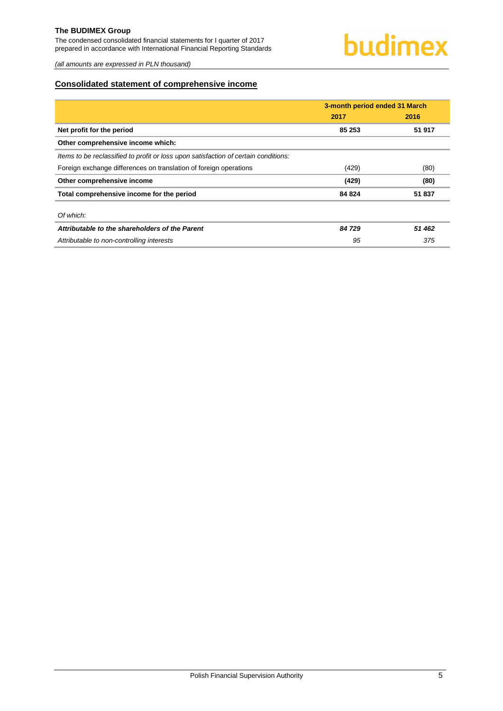The condensed consolidated financial statements for I quarter of 2017 prepared in accordance with International Financial Reporting Standards

*(all amounts are expressed in PLN thousand)*

#### <span id="page-5-0"></span>**Consolidated statement of comprehensive income**

|                                                                                     | 3-month period ended 31 March |        |  |
|-------------------------------------------------------------------------------------|-------------------------------|--------|--|
|                                                                                     | 2017                          | 2016   |  |
| Net profit for the period                                                           | 85 253                        | 51 917 |  |
| Other comprehensive income which:                                                   |                               |        |  |
| Items to be reclassified to profit or loss upon satisfaction of certain conditions: |                               |        |  |
| Foreign exchange differences on translation of foreign operations                   | (429)                         | (80)   |  |
| Other comprehensive income                                                          | (429)                         | (80)   |  |
| Total comprehensive income for the period                                           | 84 824                        | 51 837 |  |
| Of which:                                                                           |                               |        |  |
| Attributable to the shareholders of the Parent                                      | 84 729                        | 51 462 |  |
| Attributable to non-controlling interests                                           | 95                            | 375    |  |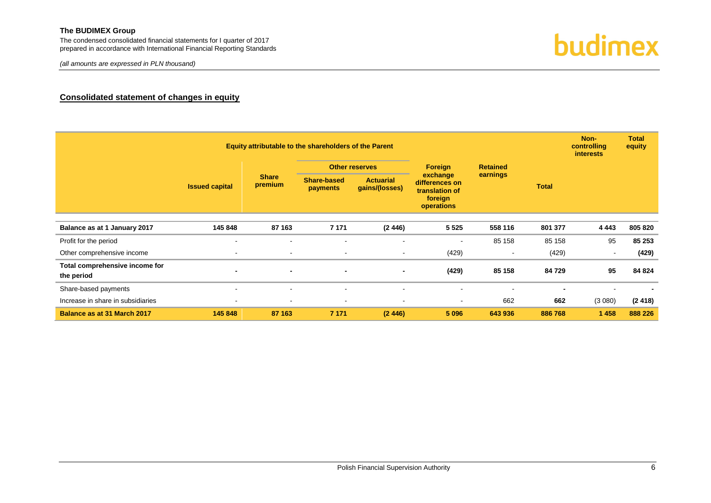The condensed consolidated financial statements for I quarter of 2017 prepared in accordance with International Financial Reporting Standards

#### **Consolidated statement of changes in equity**

<span id="page-6-0"></span>

| Equity attributable to the shareholders of the Parent |                          |                          |                                |                                    |                                                                       |                 |                          | Non-<br>controlling<br><i>interests</i> | <b>Total</b><br>equity |
|-------------------------------------------------------|--------------------------|--------------------------|--------------------------------|------------------------------------|-----------------------------------------------------------------------|-----------------|--------------------------|-----------------------------------------|------------------------|
|                                                       | <b>Issued capital</b>    |                          |                                | <b>Other reserves</b>              |                                                                       | <b>Retained</b> |                          |                                         |                        |
|                                                       |                          | <b>Share</b><br>premium  | <b>Share-based</b><br>payments | <b>Actuarial</b><br>gains/(losses) | exchange<br>differences on<br>translation of<br>foreign<br>operations | earnings        | <b>Total</b>             |                                         |                        |
|                                                       |                          |                          |                                |                                    |                                                                       |                 |                          |                                         |                        |
| Balance as at 1 January 2017                          | 145 848                  | 87 163                   | 7 1 7 1                        | (2446)                             | 5 5 2 5                                                               | 558 116         | 801 377                  | 4 4 4 3                                 | 805 820                |
| Profit for the period                                 | $\overline{\phantom{a}}$ | $\overline{\phantom{a}}$ | $\sim$                         |                                    | $\overline{\phantom{a}}$                                              | 85 158          | 85 158                   | 95                                      | 85 253                 |
| Other comprehensive income                            | $\overline{\phantom{a}}$ | $\blacksquare$           | $\blacksquare$                 | $\sim$                             | (429)                                                                 |                 | (429)                    | $\blacksquare$                          | (429)                  |
| Total comprehensive income for<br>the period          | $\blacksquare$           | $\blacksquare$           | $\blacksquare$                 | $\blacksquare$                     | (429)                                                                 | 85 158          | 84 729                   | 95                                      | 84 824                 |
| Share-based payments                                  | $\,$ $\,$                | $\blacksquare$           | $\sim$                         |                                    | $\blacksquare$                                                        |                 | $\overline{\phantom{0}}$ | -                                       |                        |
| Increase in share in subsidiaries                     |                          |                          | $\overline{\phantom{a}}$       |                                    | $\blacksquare$                                                        | 662             | 662                      | (3080)                                  | (2418)                 |
| Balance as at 31 March 2017                           | 145 848                  | 87 163                   | 7 1 7 1                        | (2446)                             | 5 0 9 6                                                               | 643 936         | 886 768                  | 1 4 5 8                                 | 888 226                |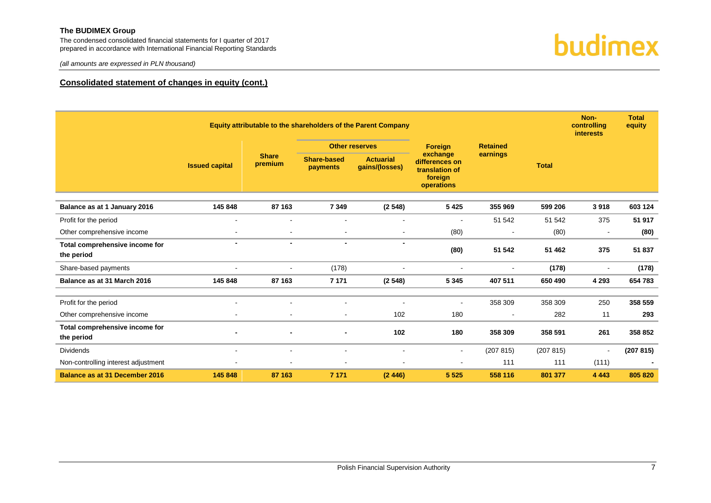The condensed consolidated financial statements for I quarter of 2017 prepared in accordance with International Financial Reporting Standards



### budimex

#### **Consolidated statement of changes in equity (cont.)**

|                                              |                       | Equity attributable to the shareholders of the Parent Company |                                |                                    |                                                                       |                 |              | Non-<br>controlling<br><b>interests</b> | <b>Total</b><br>equity |
|----------------------------------------------|-----------------------|---------------------------------------------------------------|--------------------------------|------------------------------------|-----------------------------------------------------------------------|-----------------|--------------|-----------------------------------------|------------------------|
|                                              |                       |                                                               | <b>Other reserves</b>          |                                    | Foreign                                                               | <b>Retained</b> |              |                                         |                        |
|                                              | <b>Issued capital</b> | <b>Share</b><br>premium                                       | <b>Share-based</b><br>payments | <b>Actuarial</b><br>gains/(losses) | exchange<br>differences on<br>translation of<br>foreign<br>operations | earnings        | <b>Total</b> |                                         |                        |
| Balance as at 1 January 2016                 | 145 848               | 87 163                                                        | 7 3 4 9                        | (2548)                             | 5 4 2 5                                                               | 355 969         | 599 206      | 3918                                    | 603 124                |
| Profit for the period                        | $\sim$                | $\blacksquare$                                                | $\blacksquare$                 | $\overline{\phantom{a}}$           | $\blacksquare$                                                        | 51 542          | 51 542       | 375                                     | 51 917                 |
| Other comprehensive income                   |                       | $\blacksquare$                                                | $\blacksquare$                 | $\sim$                             | (80)                                                                  |                 | (80)         | $\blacksquare$                          | (80)                   |
| Total comprehensive income for<br>the period | $\blacksquare$        | $\blacksquare$                                                | $\blacksquare$                 | $\overline{\phantom{a}}$           | (80)                                                                  | 51 542          | 51 462       | 375                                     | 51 837                 |
| Share-based payments                         |                       | $\blacksquare$                                                | (178)                          |                                    | $\blacksquare$                                                        | $\sim$          | (178)        | $\blacksquare$                          | (178)                  |
| Balance as at 31 March 2016                  | 145 848               | 87 163                                                        | 7 1 7 1                        | (2548)                             | 5 3 4 5                                                               | 407 511         | 650 490      | 4 2 9 3                                 | 654 783                |
| Profit for the period                        |                       |                                                               |                                |                                    | $\blacksquare$                                                        | 358 309         | 358 309      | 250                                     | 358 559                |
| Other comprehensive income                   |                       | $\blacksquare$                                                | $\blacksquare$                 | 102                                | 180                                                                   | $\blacksquare$  | 282          | 11                                      | 293                    |
| Total comprehensive income for<br>the period |                       |                                                               |                                | 102                                | 180                                                                   | 358 309         | 358 591      | 261                                     | 358 852                |
| <b>Dividends</b>                             | $\sim$                | $\blacksquare$                                                | $\overline{\phantom{a}}$       | $\overline{\phantom{a}}$           | $\sim$                                                                | (207 815)       | (207 815)    | $\blacksquare$                          | (207 815)              |
| Non-controlling interest adjustment          |                       |                                                               | $\overline{\phantom{a}}$       |                                    |                                                                       | 111             | 111          | (111)                                   |                        |
| <b>Balance as at 31 December 2016</b>        | 145 848               | 87 163                                                        | 7 1 7 1                        | (2446)                             | 5 5 2 5                                                               | 558 116         | 801 377      | 4 4 4 3                                 | 805 820                |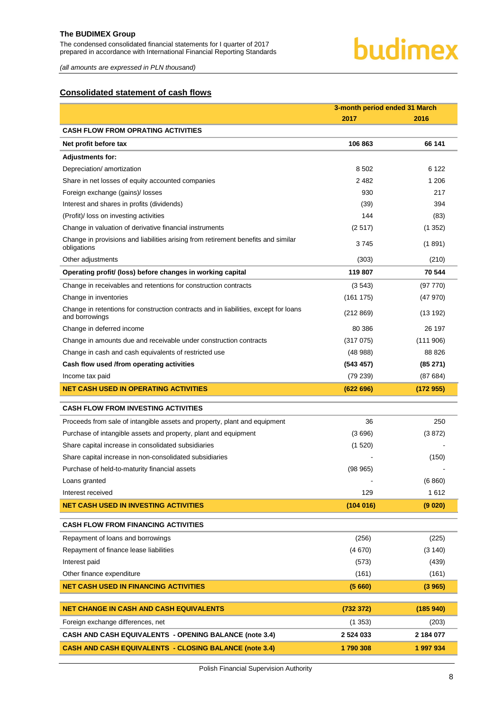The condensed consolidated financial statements for I quarter of 2017 prepared in accordance with International Financial Reporting Standards

### budimex

*(all amounts are expressed in PLN thousand)*

#### <span id="page-8-0"></span>**Consolidated statement of cash flows**

|                                                                                                        | 3-month period ended 31 March |           |  |
|--------------------------------------------------------------------------------------------------------|-------------------------------|-----------|--|
|                                                                                                        | 2017                          | 2016      |  |
| <b>CASH FLOW FROM OPRATING ACTIVITIES</b>                                                              |                               |           |  |
| Net profit before tax                                                                                  | 106863                        | 66 141    |  |
| <b>Adjustments for:</b>                                                                                |                               |           |  |
| Depreciation/ amortization                                                                             | 8502                          | 6 1 2 2   |  |
| Share in net losses of equity accounted companies                                                      | 2482                          | 1 206     |  |
| Foreign exchange (gains)/ losses                                                                       | 930                           | 217       |  |
| Interest and shares in profits (dividends)                                                             | (39)                          | 394       |  |
| (Profit)/ loss on investing activities                                                                 | 144                           | (83)      |  |
| Change in valuation of derivative financial instruments                                                | (2517)                        | (1352)    |  |
| Change in provisions and liabilities arising from retirement benefits and similar<br>obligations       | 3745                          | (1891)    |  |
| Other adjustments                                                                                      | (303)                         | (210)     |  |
| Operating profit/ (loss) before changes in working capital                                             | 119 807                       | 70 544    |  |
| Change in receivables and retentions for construction contracts                                        | (3543)                        | (97 770)  |  |
| Change in inventories                                                                                  | (161175)                      | (47970)   |  |
| Change in retentions for construction contracts and in liabilities, except for loans<br>and borrowings | (212 869)                     | (13192)   |  |
| Change in deferred income                                                                              | 80 386                        | 26 197    |  |
| Change in amounts due and receivable under construction contracts                                      | (317075)                      | (111906)  |  |
| Change in cash and cash equivalents of restricted use                                                  | (48988)                       | 88 826    |  |
| Cash flow used /from operating activities                                                              | (543 457)                     | (85271)   |  |
| Income tax paid                                                                                        | (79 239)                      | (87684)   |  |
| <b>NET CASH USED IN OPERATING ACTIVITIES</b>                                                           | (622696)                      | (172955)  |  |
| <b>CASH FLOW FROM INVESTING ACTIVITIES</b>                                                             |                               |           |  |
| Proceeds from sale of intangible assets and property, plant and equipment                              | 36                            | 250       |  |
| Purchase of intangible assets and property, plant and equipment                                        | (3696)                        | (3872)    |  |
| Share capital increase in consolidated subsidiaries                                                    | (1520)                        |           |  |
| Share capital increase in non-consolidated subsidiaries                                                |                               | (150)     |  |
| Purchase of held-to-maturity financial assets                                                          | (98965)                       |           |  |
| Loans granted                                                                                          |                               | (6860)    |  |
| Interest received                                                                                      | 129                           | 1612      |  |
| <b>NET CASH USED IN INVESTING ACTIVITIES</b>                                                           | (104016)                      | (9 020)   |  |
|                                                                                                        |                               |           |  |
| <b>CASH FLOW FROM FINANCING ACTIVITIES</b>                                                             |                               |           |  |
| Repayment of loans and borrowings                                                                      | (256)                         | (225)     |  |
| Repayment of finance lease liabilities                                                                 | (4670)                        | (3 140)   |  |
| Interest paid                                                                                          | (573)                         | (439)     |  |
| Other finance expenditure                                                                              | (161)                         | (161)     |  |
| <b>NET CASH USED IN FINANCING ACTIVITIES</b>                                                           | (5660)                        | (3965)    |  |
| <b>NET CHANGE IN CASH AND CASH EQUIVALENTS</b>                                                         | (732 372)                     | (185940)  |  |
| Foreign exchange differences, net                                                                      |                               | (203)     |  |
|                                                                                                        | (1353)                        |           |  |
| <b>CASH AND CASH EQUIVALENTS - OPENING BALANCE (note 3.4)</b>                                          | 2 5 24 0 33                   | 2 184 077 |  |
| <b>CASH AND CASH EQUIVALENTS - CLOSING BALANCE (note 3.4)</b>                                          | 1790 308                      | 1 997 934 |  |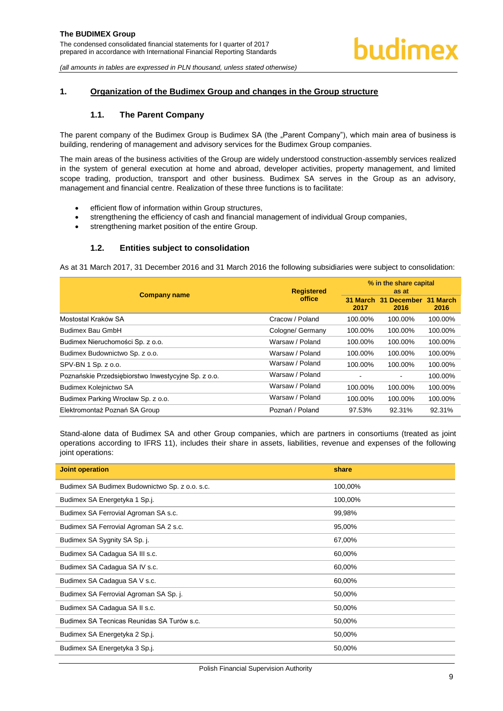#### <span id="page-9-1"></span><span id="page-9-0"></span>**1. Organization of the Budimex Group and changes in the Group structure**

#### **1.1. The Parent Company**

The parent company of the Budimex Group is Budimex SA (the "Parent Company"), which main area of business is building, rendering of management and advisory services for the Budimex Group companies.

The main areas of the business activities of the Group are widely understood construction-assembly services realized in the system of general execution at home and abroad, developer activities, property management, and limited scope trading, production, transport and other business. Budimex SA serves in the Group as an advisory, management and financial centre. Realization of these three functions is to facilitate:

- efficient flow of information within Group structures,
- strengthening the efficiency of cash and financial management of individual Group companies,
- strengthening market position of the entire Group.

#### **1.2. Entities subject to consolidation**

<span id="page-9-2"></span>As at 31 March 2017, 31 December 2016 and 31 March 2016 the following subsidiaries were subject to consolidation:

|                                                     | <b>Registered</b> | % in the share capital<br>as at |                                |                  |
|-----------------------------------------------------|-------------------|---------------------------------|--------------------------------|------------------|
| <b>Company name</b>                                 | office            | 31 March<br>2017                | <b>December</b><br>-31<br>2016 | 31 March<br>2016 |
| Mostostal Kraków SA                                 | Cracow / Poland   | 100.00%                         | 100.00%                        | 100.00%          |
| Budimex Bau GmbH                                    | Cologne/ Germany  | 100.00%                         | 100.00%                        | 100.00%          |
| Budimex Nieruchomości Sp. z o.o.                    | Warsaw / Poland   | 100.00%                         | 100.00%                        | 100.00%          |
| Budimex Budownictwo Sp. z o.o.                      | Warsaw / Poland   | 100.00%                         | 100.00%                        | 100.00%          |
| SPV-BN 1 Sp. z o.o.                                 | Warsaw / Poland   | 100.00%                         | 100.00%                        | 100.00%          |
| Poznańskie Przedsiębiorstwo Inwestycyjne Sp. z o.o. | Warsaw / Poland   | ÷                               | ۰.                             | 100.00%          |
| Budimex Kolejnictwo SA                              | Warsaw / Poland   | 100.00%                         | 100.00%                        | 100.00%          |
| Budimex Parking Wrocław Sp. z o.o.                  | Warsaw / Poland   | 100.00%                         | 100.00%                        | 100.00%          |
| Elektromontaż Poznań SA Group                       | Poznań / Poland   | 97.53%                          | 92.31%                         | 92.31%           |

Stand-alone data of Budimex SA and other Group companies, which are partners in consortiums (treated as joint operations according to IFRS 11), includes their share in assets, liabilities, revenue and expenses of the following ioint operations:

| <b>Joint operation</b>                         | share   |
|------------------------------------------------|---------|
| Budimex SA Budimex Budownictwo Sp. z o.o. s.c. | 100,00% |
| Budimex SA Energetyka 1 Sp.j.                  | 100,00% |
| Budimex SA Ferrovial Agroman SA s.c.           | 99,98%  |
| Budimex SA Ferrovial Agroman SA 2 s.c.         | 95,00%  |
| Budimex SA Sygnity SA Sp. j.                   | 67,00%  |
| Budimex SA Cadagua SA III s.c.                 | 60,00%  |
| Budimex SA Cadagua SA IV s.c.                  | 60,00%  |
| Budimex SA Cadagua SA V s.c.                   | 60,00%  |
| Budimex SA Ferrovial Agroman SA Sp. j.         | 50,00%  |
| Budimex SA Cadagua SA II s.c.                  | 50,00%  |
| Budimex SA Tecnicas Reunidas SA Turów s.c.     | 50,00%  |
| Budimex SA Energetyka 2 Sp.j.                  | 50,00%  |
| Budimex SA Energetyka 3 Sp.j.                  | 50,00%  |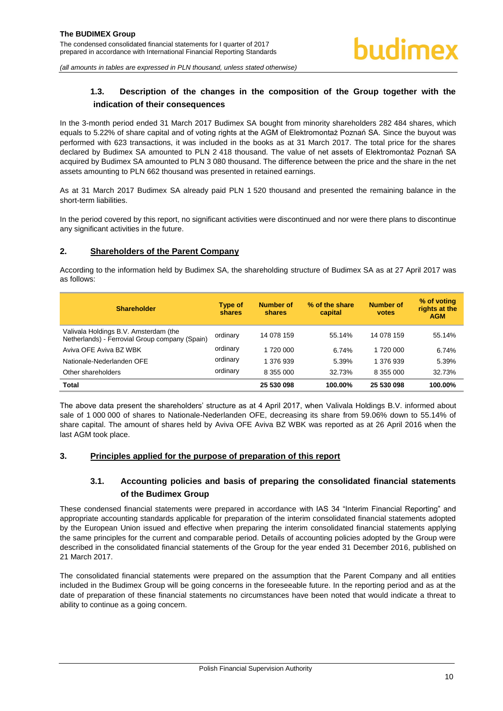#### <span id="page-10-0"></span>**1.3. Description of the changes in the composition of the Group together with the indication of their consequences**

In the 3-month period ended 31 March 2017 Budimex SA bought from minority shareholders 282 484 shares, which equals to 5.22% of share capital and of voting rights at the AGM of Elektromontaż Poznań SA. Since the buyout was performed with 623 transactions, it was included in the books as at 31 March 2017. The total price for the shares declared by Budimex SA amounted to PLN 2 418 thousand. The value of net assets of Elektromontaż Poznań SA acquired by Budimex SA amounted to PLN 3 080 thousand. The difference between the price and the share in the net assets amounting to PLN 662 thousand was presented in retained earnings.

As at 31 March 2017 Budimex SA already paid PLN 1 520 thousand and presented the remaining balance in the short-term liabilities.

In the period covered by this report, no significant activities were discontinued and nor were there plans to discontinue any significant activities in the future.

#### <span id="page-10-1"></span>**2. Shareholders of the Parent Company**

According to the information held by Budimex SA, the shareholding structure of Budimex SA as at 27 April 2017 was as follows:

| <b>Shareholder</b>                                                                      | Type of<br>shares | Number of<br>shares | % of the share<br>capital | <b>Number of</b><br>votes | % of voting<br>rights at the<br><b>AGM</b> |
|-----------------------------------------------------------------------------------------|-------------------|---------------------|---------------------------|---------------------------|--------------------------------------------|
| Valivala Holdings B.V. Amsterdam (the<br>Netherlands) - Ferrovial Group company (Spain) | ordinary          | 14 078 159          | 55.14%                    | 14 078 159                | 55.14%                                     |
| Aviva OFE Aviva BZ WBK                                                                  | ordinary          | 1 720 000           | 6.74%                     | 1 720 000                 | 6.74%                                      |
| Nationale-Nederlanden OFE                                                               | ordinary          | 1 376 939           | 5.39%                     | 1 376 939                 | 5.39%                                      |
| Other shareholders                                                                      | ordinary          | 8 355 000           | 32.73%                    | 8 355 000                 | 32.73%                                     |
| <b>Total</b>                                                                            |                   | 25 530 098          | 100.00%                   | 25 530 098                | 100.00%                                    |

The above data present the shareholders' structure as at 4 April 2017, when Valivala Holdings B.V. informed about sale of 1 000 000 of shares to Nationale-Nederlanden OFE, decreasing its share from 59.06% down to 55.14% of share capital. The amount of shares held by Aviva OFE Aviva BZ WBK was reported as at 26 April 2016 when the last AGM took place.

#### <span id="page-10-3"></span><span id="page-10-2"></span>**3. Principles applied for the purpose of preparation of this report**

#### **3.1. Accounting policies and basis of preparing the consolidated financial statements of the Budimex Group**

These condensed financial statements were prepared in accordance with IAS 34 "Interim Financial Reporting" and appropriate accounting standards applicable for preparation of the interim consolidated financial statements adopted by the European Union issued and effective when preparing the interim consolidated financial statements applying the same principles for the current and comparable period. Details of accounting policies adopted by the Group were described in the consolidated financial statements of the Group for the year ended 31 December 2016, published on 21 March 2017.

The consolidated financial statements were prepared on the assumption that the Parent Company and all entities included in the Budimex Group will be going concerns in the foreseeable future. In the reporting period and as at the date of preparation of these financial statements no circumstances have been noted that would indicate a threat to ability to continue as a going concern.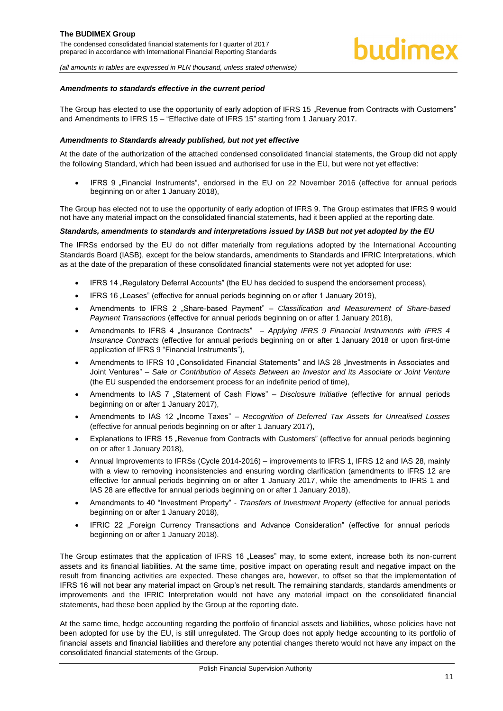#### *Amendments to standards effective in the current period*

The Group has elected to use the opportunity of early adoption of IFRS 15 . Revenue from Contracts with Customers" and Amendments to IFRS 15 – "Effective date of IFRS 15" starting from 1 January 2017.

#### *Amendments to Standards already published, but not yet effective*

At the date of the authorization of the attached condensed consolidated financial statements, the Group did not apply the following Standard, which had been issued and authorised for use in the EU, but were not yet effective:

IFRS 9 .Financial Instruments", endorsed in the EU on 22 November 2016 (effective for annual periods beginning on or after 1 January 2018),

The Group has elected not to use the opportunity of early adoption of IFRS 9. The Group estimates that IFRS 9 would not have any material impact on the consolidated financial statements, had it been applied at the reporting date.

#### *Standards, amendments to standards and interpretations issued by IASB but not yet adopted by the EU*

The IFRSs endorsed by the EU do not differ materially from regulations adopted by the International Accounting Standards Board (IASB), except for the below standards, amendments to Standards and IFRIC Interpretations, which as at the date of the preparation of these consolidated financial statements were not yet adopted for use:

- IFRS 14 "Regulatory Deferral Accounts" (the EU has decided to suspend the endorsement process),
- IFRS 16 "Leases" (effective for annual periods beginning on or after 1 January 2019),
- Amendments to IFRS 2 "Share-based Payment" *Classification and Measurement of Share-based Payment Transactions* (effective for annual periods beginning on or after 1 January 2018),
- Amendments to IFRS 4 "Insurance Contracts" Applying IFRS 9 Financial Instruments with IFRS 4 *Insurance Contracts* (effective for annual periods beginning on or after 1 January 2018 or upon first-time application of IFRS 9 "Financial Instruments"),
- Amendments to IFRS 10 "Consolidated Financial Statements" and IAS 28 "Investments in Associates and Joint Ventures" – *Sale or Contribution of Assets Between an Investor and its Associate or Joint Venture* (the EU suspended the endorsement process for an indefinite period of time),
- Amendments to IAS 7 "Statement of Cash Flows" *Disclosure Initiative* (effective for annual periods beginning on or after 1 January 2017),
- Amendments to IAS 12 "Income Taxes" *Recognition of Deferred Tax Assets for Unrealised Losses* (effective for annual periods beginning on or after 1 January 2017),
- Explanations to IFRS 15 "Revenue from Contracts with Customers" (effective for annual periods beginning on or after 1 January 2018),
- Annual Improvements to IFRSs (Cycle 2014-2016) improvements to IFRS 1, IFRS 12 and IAS 28, mainly with a view to removing inconsistencies and ensuring wording clarification (amendments to IFRS 12 are effective for annual periods beginning on or after 1 January 2017, while the amendments to IFRS 1 and IAS 28 are effective for annual periods beginning on or after 1 January 2018),
- Amendments to 40 "Investment Property" *Transfers of Investment Property* (effective for annual periods beginning on or after 1 January 2018),
- IFRIC 22 "Foreign Currency Transactions and Advance Consideration" (effective for annual periods beginning on or after 1 January 2018).

The Group estimates that the application of IFRS 16 "Leases" may, to some extent, increase both its non-current assets and its financial liabilities. At the same time, positive impact on operating result and negative impact on the result from financing activities are expected. These changes are, however, to offset so that the implementation of IFRS 16 will not bear any material impact on Group's net result. The remaining standards, standards amendments or improvements and the IFRIC Interpretation would not have any material impact on the consolidated financial statements, had these been applied by the Group at the reporting date.

At the same time, hedge accounting regarding the portfolio of financial assets and liabilities, whose policies have not been adopted for use by the EU, is still unregulated. The Group does not apply hedge accounting to its portfolio of financial assets and financial liabilities and therefore any potential changes thereto would not have any impact on the consolidated financial statements of the Group.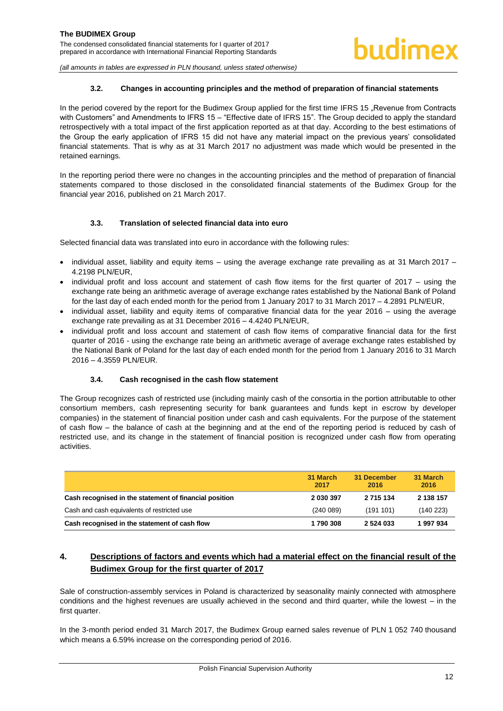#### **3.2. Changes in accounting principles and the method of preparation of financial statements**

<span id="page-12-0"></span>In the period covered by the report for the Budimex Group applied for the first time IFRS 15 "Revenue from Contracts with Customers" and Amendments to IFRS 15 – "Effective date of IFRS 15". The Group decided to apply the standard retrospectively with a total impact of the first application reported as at that day. According to the best estimations of the Group the early application of IFRS 15 did not have any material impact on the previous years' consolidated financial statements. That is why as at 31 March 2017 no adjustment was made which would be presented in the retained earnings.

In the reporting period there were no changes in the accounting principles and the method of preparation of financial statements compared to those disclosed in the consolidated financial statements of the Budimex Group for the financial year 2016, published on 21 March 2017.

#### **3.3. Translation of selected financial data into euro**

<span id="page-12-1"></span>Selected financial data was translated into euro in accordance with the following rules:

- $\bullet$  individual asset, liability and equity items using the average exchange rate prevailing as at 31 March 2017 4.2198 PLN/EUR,
- $\bullet$  individual profit and loss account and statement of cash flow items for the first quarter of 2017 using the exchange rate being an arithmetic average of average exchange rates established by the National Bank of Poland for the last day of each ended month for the period from 1 January 2017 to 31 March 2017 – 4.2891 PLN/EUR,
- individual asset, liability and equity items of comparative financial data for the year 2016 using the average exchange rate prevailing as at 31 December 2016 – 4.4240 PLN/EUR,
- individual profit and loss account and statement of cash flow items of comparative financial data for the first quarter of 2016 - using the exchange rate being an arithmetic average of average exchange rates established by the National Bank of Poland for the last day of each ended month for the period from 1 January 2016 to 31 March 2016 – 4.3559 PLN/EUR.

#### **3.4. Cash recognised in the cash flow statement**

<span id="page-12-2"></span>The Group recognizes cash of restricted use (including mainly cash of the consortia in the portion attributable to other consortium members, cash representing security for bank guarantees and funds kept in escrow by developer companies) in the statement of financial position under cash and cash equivalents. For the purpose of the statement of cash flow – the balance of cash at the beginning and at the end of the reporting period is reduced by cash of restricted use, and its change in the statement of financial position is recognized under cash flow from operating activities.

|                                                        | 31 March<br>2017 | 31 December<br>2016 | 31 March<br>2016 |
|--------------------------------------------------------|------------------|---------------------|------------------|
| Cash recognised in the statement of financial position | 2 030 397        | 2 715 134           | 2 138 157        |
| Cash and cash equivalents of restricted use            | (240089)         | (191101)            | (140 223)        |
| Cash recognised in the statement of cash flow          | 1790308          | 2 5 24 0 33         | 1997934          |

#### <span id="page-12-3"></span>**4. Descriptions of factors and events which had a material effect on the financial result of the Budimex Group for the first quarter of 2017**

Sale of construction-assembly services in Poland is characterized by seasonality mainly connected with atmosphere conditions and the highest revenues are usually achieved in the second and third quarter, while the lowest – in the first quarter.

In the 3-month period ended 31 March 2017, the Budimex Group earned sales revenue of PLN 1 052 740 thousand which means a 6.59% increase on the corresponding period of 2016.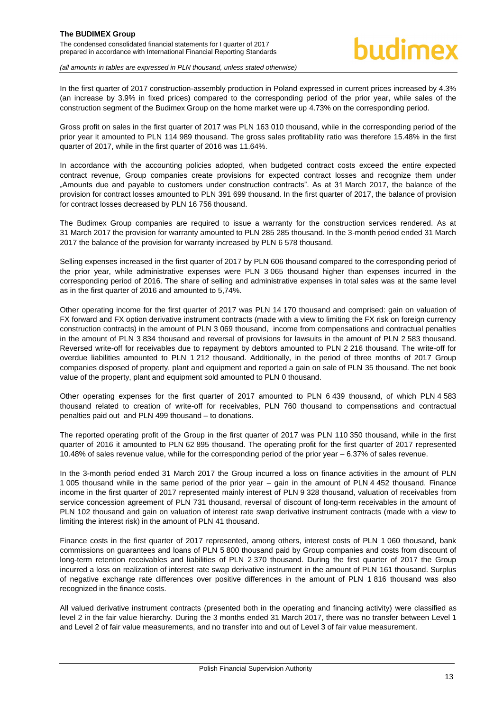In the first quarter of 2017 construction-assembly production in Poland expressed in current prices increased by 4.3% (an increase by 3.9% in fixed prices) compared to the corresponding period of the prior year, while sales of the construction segment of the Budimex Group on the home market were up 4.73% on the corresponding period.

Gross profit on sales in the first quarter of 2017 was PLN 163 010 thousand, while in the corresponding period of the prior year it amounted to PLN 114 989 thousand. The gross sales profitability ratio was therefore 15.48% in the first quarter of 2017, while in the first quarter of 2016 was 11.64%.

In accordance with the accounting policies adopted, when budgeted contract costs exceed the entire expected contract revenue, Group companies create provisions for expected contract losses and recognize them under "Amounts due and payable to customers under construction contracts". As at 31 March 2017, the balance of the provision for contract losses amounted to PLN 391 699 thousand. In the first quarter of 2017, the balance of provision for contract losses decreased by PLN 16 756 thousand.

The Budimex Group companies are required to issue a warranty for the construction services rendered. As at 31 March 2017 the provision for warranty amounted to PLN 285 285 thousand. In the 3-month period ended 31 March 2017 the balance of the provision for warranty increased by PLN 6 578 thousand.

Selling expenses increased in the first quarter of 2017 by PLN 606 thousand compared to the corresponding period of the prior year, while administrative expenses were PLN 3 065 thousand higher than expenses incurred in the corresponding period of 2016. The share of selling and administrative expenses in total sales was at the same level as in the first quarter of 2016 and amounted to 5,74%.

Other operating income for the first quarter of 2017 was PLN 14 170 thousand and comprised: gain on valuation of FX forward and FX option derivative instrument contracts (made with a view to limiting the FX risk on foreign currency construction contracts) in the amount of PLN 3 069 thousand, income from compensations and contractual penalties in the amount of PLN 3 834 thousand and reversal of provisions for lawsuits in the amount of PLN 2 583 thousand. Reversed write-off for receivables due to repayment by debtors amounted to PLN 2 216 thousand. The write-off for overdue liabilities amounted to PLN 1 212 thousand. Additionally, in the period of three months of 2017 Group companies disposed of property, plant and equipment and reported a gain on sale of PLN 35 thousand. The net book value of the property, plant and equipment sold amounted to PLN 0 thousand.

Other operating expenses for the first quarter of 2017 amounted to PLN 6 439 thousand, of which PLN 4 583 thousand related to creation of write-off for receivables, PLN 760 thousand to compensations and contractual penalties paid out and PLN 499 thousand – to donations.

The reported operating profit of the Group in the first quarter of 2017 was PLN 110 350 thousand, while in the first quarter of 2016 it amounted to PLN 62 895 thousand. The operating profit for the first quarter of 2017 represented 10.48% of sales revenue value, while for the corresponding period of the prior year – 6.37% of sales revenue.

In the 3-month period ended 31 March 2017 the Group incurred a loss on finance activities in the amount of PLN 1 005 thousand while in the same period of the prior year – gain in the amount of PLN 4 452 thousand. Finance income in the first quarter of 2017 represented mainly interest of PLN 9 328 thousand, valuation of receivables from service concession agreement of PLN 731 thousand, reversal of discount of long-term receivables in the amount of PLN 102 thousand and gain on valuation of interest rate swap derivative instrument contracts (made with a view to limiting the interest risk) in the amount of PLN 41 thousand.

Finance costs in the first quarter of 2017 represented, among others, interest costs of PLN 1 060 thousand, bank commissions on guarantees and loans of PLN 5 800 thousand paid by Group companies and costs from discount of long-term retention receivables and liabilities of PLN 2 370 thousand. During the first quarter of 2017 the Group incurred a loss on realization of interest rate swap derivative instrument in the amount of PLN 161 thousand. Surplus of negative exchange rate differences over positive differences in the amount of PLN 1 816 thousand was also recognized in the finance costs.

All valued derivative instrument contracts (presented both in the operating and financing activity) were classified as level 2 in the fair value hierarchy. During the 3 months ended 31 March 2017, there was no transfer between Level 1 and Level 2 of fair value measurements, and no transfer into and out of Level 3 of fair value measurement.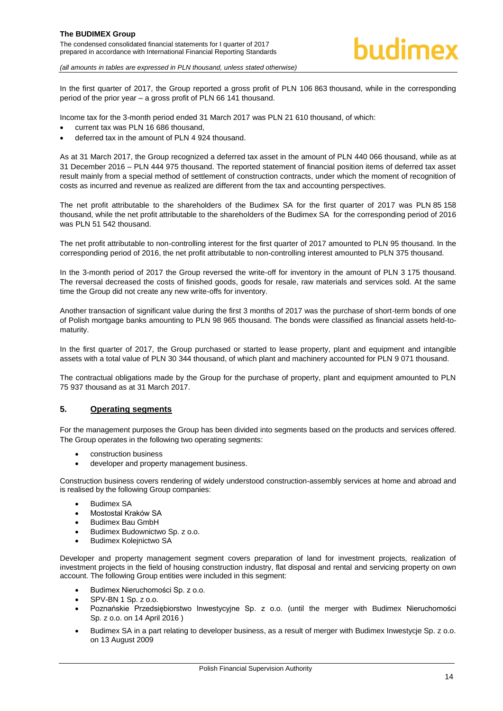In the first quarter of 2017, the Group reported a gross profit of PLN 106 863 thousand, while in the corresponding period of the prior year – a gross profit of PLN 66 141 thousand.

Income tax for the 3-month period ended 31 March 2017 was PLN 21 610 thousand, of which:

- current tax was PLN 16 686 thousand,
- deferred tax in the amount of PLN 4 924 thousand.

As at 31 March 2017, the Group recognized a deferred tax asset in the amount of PLN 440 066 thousand, while as at 31 December 2016 – PLN 444 975 thousand. The reported statement of financial position items of deferred tax asset result mainly from a special method of settlement of construction contracts, under which the moment of recognition of costs as incurred and revenue as realized are different from the tax and accounting perspectives.

The net profit attributable to the shareholders of the Budimex SA for the first quarter of 2017 was PLN 85 158 thousand, while the net profit attributable to the shareholders of the Budimex SA for the corresponding period of 2016 was PLN 51 542 thousand.

The net profit attributable to non-controlling interest for the first quarter of 2017 amounted to PLN 95 thousand. In the corresponding period of 2016, the net profit attributable to non-controlling interest amounted to PLN 375 thousand.

In the 3-month period of 2017 the Group reversed the write-off for inventory in the amount of PLN 3 175 thousand. The reversal decreased the costs of finished goods, goods for resale, raw materials and services sold. At the same time the Group did not create any new write-offs for inventory.

Another transaction of significant value during the first 3 months of 2017 was the purchase of short-term bonds of one of Polish mortgage banks amounting to PLN 98 965 thousand. The bonds were classified as financial assets held-tomaturity.

In the first quarter of 2017, the Group purchased or started to lease property, plant and equipment and intangible assets with a total value of PLN 30 344 thousand, of which plant and machinery accounted for PLN 9 071 thousand.

The contractual obligations made by the Group for the purchase of property, plant and equipment amounted to PLN 75 937 thousand as at 31 March 2017.

#### <span id="page-14-0"></span>**5. Operating segments**

For the management purposes the Group has been divided into segments based on the products and services offered. The Group operates in the following two operating segments:

- construction business
- developer and property management business.

Construction business covers rendering of widely understood construction-assembly services at home and abroad and is realised by the following Group companies:

- Budimex SA
- Mostostal Kraków SA
- Budimex Bau GmbH
- Budimex Budownictwo Sp. z o.o.
- Budimex Kolejnictwo SA

Developer and property management segment covers preparation of land for investment projects, realization of investment projects in the field of housing construction industry, flat disposal and rental and servicing property on own account. The following Group entities were included in this segment:

- Budimex Nieruchomości Sp. z o.o.
- SPV-BN 1 Sp. z o.o.
- Poznańskie Przedsiębiorstwo Inwestycyjne Sp. z o.o. (until the merger with Budimex Nieruchomości Sp. z o.o. on 14 April 2016 )
- Budimex SA in a part relating to developer business, as a result of merger with Budimex Inwestycje Sp. z o.o. on 13 August 2009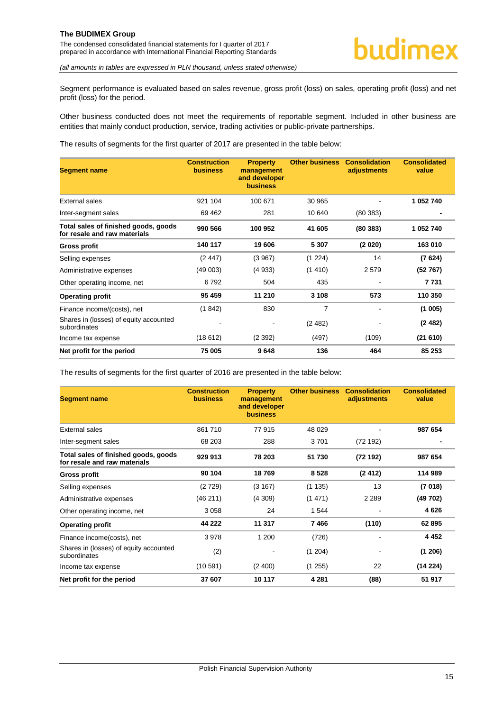The condensed consolidated financial statements for I quarter of 2017 prepared in accordance with International Financial Reporting Standards

*(all amounts in tables are expressed in PLN thousand, unless stated otherwise)*

Segment performance is evaluated based on sales revenue, gross profit (loss) on sales, operating profit (loss) and net profit (loss) for the period.

Other business conducted does not meet the requirements of reportable segment. Included in other business are entities that mainly conduct production, service, trading activities or public-private partnerships.

The results of segments for the first quarter of 2017 are presented in the table below:

| <b>Segment name</b>                                                  | <b>Construction</b><br><b>business</b> | <b>Property</b><br>management<br>and developer<br><b>business</b> | <b>Other business</b> | <b>Consolidation</b><br>adjustments | <b>Consolidated</b><br>value |
|----------------------------------------------------------------------|----------------------------------------|-------------------------------------------------------------------|-----------------------|-------------------------------------|------------------------------|
| External sales                                                       | 921 104                                | 100 671                                                           | 30 965                |                                     | 1 052 740                    |
| Inter-segment sales                                                  | 69 4 62                                | 281                                                               | 10 640                | (80383)                             |                              |
| Total sales of finished goods, goods<br>for resale and raw materials | 990 566                                | 100 952                                                           | 41 605                | (80383)                             | 1 052 740                    |
| Gross profit                                                         | 140 117                                | 19 606                                                            | 5 3 0 7               | (2 020)                             | 163 010                      |
| Selling expenses                                                     | (2447)                                 | (3967)                                                            | (1 224)               | 14                                  | (7624)                       |
| Administrative expenses                                              | (49003)                                | (4933)                                                            | (1410)                | 2579                                | (52767)                      |
| Other operating income, net                                          | 6792                                   | 504                                                               | 435                   | ٠                                   | 7731                         |
| <b>Operating profit</b>                                              | 95 459                                 | 11 210                                                            | 3 108                 | 573                                 | 110 350                      |
| Finance income/(costs), net                                          | (1842)                                 | 830                                                               | 7                     | $\blacksquare$                      | (1005)                       |
| Shares in (losses) of equity accounted<br>subordinates               |                                        | ۰                                                                 | (2482)                |                                     | (2482)                       |
| Income tax expense                                                   | (18612)                                | (2392)                                                            | (497)                 | (109)                               | (21610)                      |
| Net profit for the period                                            | 75 005                                 | 9648                                                              | 136                   | 464                                 | 85 253                       |

The results of segments for the first quarter of 2016 are presented in the table below:

| <b>Segment name</b>                                                  | <b>Construction</b><br><b>business</b> | <b>Property</b><br>management<br>and developer<br><b>business</b> | <b>Other business</b> | <b>Consolidation</b><br>adjustments | <b>Consolidated</b><br>value |
|----------------------------------------------------------------------|----------------------------------------|-------------------------------------------------------------------|-----------------------|-------------------------------------|------------------------------|
| External sales                                                       | 861710                                 | 77915                                                             | 48 0 29               |                                     | 987 654                      |
| Inter-segment sales                                                  | 68 203                                 | 288                                                               | 3701                  | (72192)                             |                              |
| Total sales of finished goods, goods<br>for resale and raw materials | 929 913                                | 78 203                                                            | 51 730                | (72 192)                            | 987 654                      |
| Gross profit                                                         | 90 104                                 | 18769                                                             | 8528                  | (2412)                              | 114 989                      |
| Selling expenses                                                     | (2729)                                 | (3167)                                                            | (1135)                | 13                                  | (7018)                       |
| Administrative expenses                                              | (46211)                                | (4309)                                                            | (1471)                | 2 2 8 9                             | (49 702)                     |
| Other operating income, net                                          | 3058                                   | 24                                                                | 1 544                 |                                     | 4626                         |
| <b>Operating profit</b>                                              | 44 222                                 | 11 317                                                            | 7466                  | (110)                               | 62 895                       |
| Finance income(costs), net                                           | 3978                                   | 1 200                                                             | (726)                 |                                     | 4 4 5 2                      |
| Shares in (losses) of equity accounted<br>subordinates               | (2)                                    |                                                                   | (1 204)               |                                     | (1206)                       |
| Income tax expense                                                   | (10.591)                               | (2, 400)                                                          | (1255)                | 22                                  | (14224)                      |
| Net profit for the period                                            | 37 607                                 | 10 117                                                            | 4 2 8 1               | (88)                                | 51 917                       |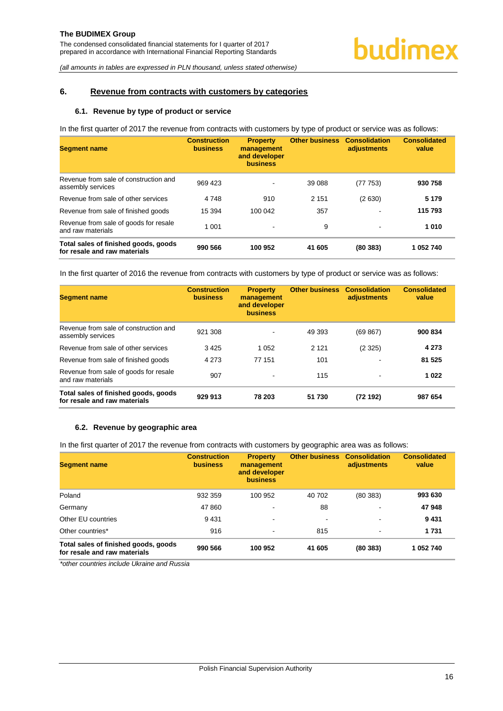#### <span id="page-16-1"></span><span id="page-16-0"></span>**6. Revenue from contracts with customers by categories**

#### **6.1. Revenue by type of product or service**

In the first quarter of 2017 the revenue from contracts with customers by type of product or service was as follows:

| <b>Segment name</b>                                                  | <b>Construction</b><br><b>business</b> | <b>Property</b><br>management<br>and developer<br><b>business</b> | <b>Other business</b> | <b>Consolidation</b><br>adjustments | <b>Consolidated</b><br>value |
|----------------------------------------------------------------------|----------------------------------------|-------------------------------------------------------------------|-----------------------|-------------------------------------|------------------------------|
| Revenue from sale of construction and<br>assembly services           | 969 423                                | $\overline{\phantom{a}}$                                          | 39 088                | (77 753)                            | 930 758                      |
| Revenue from sale of other services                                  | 4748                                   | 910                                                               | 2 1 5 1               | (2630)                              | 5 1 7 9                      |
| Revenue from sale of finished goods                                  | 15 3 94                                | 100 042                                                           | 357                   |                                     | 115 793                      |
| Revenue from sale of goods for resale<br>and raw materials           | 1 0 0 1                                | $\overline{\phantom{a}}$                                          | 9                     | ۰                                   | 1010                         |
| Total sales of finished goods, goods<br>for resale and raw materials | 990 566                                | 100 952                                                           | 41 605                | (80383)                             | 1 052 740                    |

In the first quarter of 2016 the revenue from contracts with customers by type of product or service was as follows:

| <b>Segment name</b>                                                  | <b>Construction</b><br><b>business</b> | <b>Property</b><br>management<br>and developer<br><b>business</b> | <b>Other business</b> | <b>Consolidation</b><br>adjustments | <b>Consolidated</b><br>value |
|----------------------------------------------------------------------|----------------------------------------|-------------------------------------------------------------------|-----------------------|-------------------------------------|------------------------------|
| Revenue from sale of construction and<br>assembly services           | 921 308                                | $\overline{\phantom{a}}$                                          | 49 393                | (69 867)                            | 900 834                      |
| Revenue from sale of other services                                  | 3425                                   | 1 0 5 2                                                           | 2 1 2 1               | (2325)                              | 4 2 7 3                      |
| Revenue from sale of finished goods                                  | 4 2 7 3                                | 77 151                                                            | 101                   | $\,$                                | 81 525                       |
| Revenue from sale of goods for resale<br>and raw materials           | 907                                    |                                                                   | 115                   | $\overline{\phantom{a}}$            | 1022                         |
| Total sales of finished goods, goods<br>for resale and raw materials | 929 913                                | 78 203                                                            | 51 730                | (72192)                             | 987 654                      |

#### <span id="page-16-2"></span>**6.2. Revenue by geographic area**

In the first quarter of 2017 the revenue from contracts with customers by geographic area was as follows:

| <b>Segment name</b>                                                  | <b>Construction</b><br><b>business</b> | <b>Property</b><br>management<br>and developer<br><b>business</b> | <b>Other business</b> | <b>Consolidation</b><br>adjustments | <b>Consolidated</b><br>value |
|----------------------------------------------------------------------|----------------------------------------|-------------------------------------------------------------------|-----------------------|-------------------------------------|------------------------------|
| Poland                                                               | 932 359                                | 100 952                                                           | 40 702                | (80383)                             | 993 630                      |
| Germany                                                              | 47 860                                 | $\blacksquare$                                                    | 88                    | $\,$                                | 47948                        |
| Other EU countries                                                   | 9431                                   | $\blacksquare$                                                    | $\blacksquare$        | $\,$                                | 9431                         |
| Other countries*                                                     | 916                                    | $\blacksquare$                                                    | 815                   | ۰                                   | 1 7 3 1                      |
| Total sales of finished goods, goods<br>for resale and raw materials | 990 566                                | 100 952                                                           | 41 605                | (80383)                             | 1 052 740                    |

*\*other countries include Ukraine and Russia*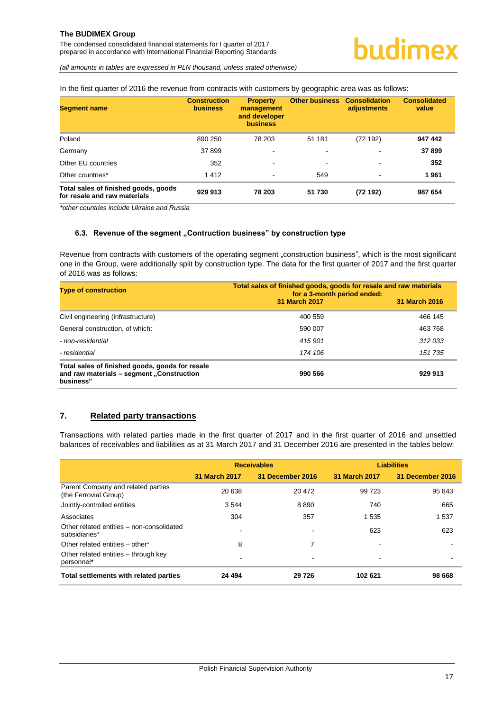The condensed consolidated financial statements for I quarter of 2017 prepared in accordance with International Financial Reporting Standards

*(all amounts in tables are expressed in PLN thousand, unless stated otherwise)*

In the first quarter of 2016 the revenue from contracts with customers by geographic area was as follows:

| <b>Segment name</b>                                                  | <b>Construction</b><br><b>business</b> | <b>Property</b><br>management<br>and developer<br><b>business</b> | <b>Other business</b> | <b>Consolidation</b><br>adjustments | <b>Consolidated</b><br>value |
|----------------------------------------------------------------------|----------------------------------------|-------------------------------------------------------------------|-----------------------|-------------------------------------|------------------------------|
| Poland                                                               | 890 250                                | 78 203                                                            | 51 181                | (72192)                             | 947 442                      |
| Germany                                                              | 37899                                  | $\overline{\phantom{a}}$                                          | ٠                     | $\overline{\phantom{0}}$            | 37899                        |
| Other EU countries                                                   | 352                                    | $\overline{\phantom{a}}$                                          | ۰                     | $\overline{\phantom{0}}$            | 352                          |
| Other countries*                                                     | 1412                                   | $\blacksquare$                                                    | 549                   | $\overline{\phantom{0}}$            | 1961                         |
| Total sales of finished goods, goods<br>for resale and raw materials | 929 913                                | 78 203                                                            | 51 730                | (72192)                             | 987 654                      |

*\*other countries include Ukraine and Russia* 

#### <span id="page-17-0"></span>**6.3. Revenue of the segment "Contruction business" by construction type**

Revenue from contracts with customers of the operating segment "construction business", which is the most significant one in the Group, were additionally split by construction type. The data for the first quarter of 2017 and the first quarter of 2016 was as follows:

| <b>Type of construction</b>                                                                               | Total sales of finished goods, goods for resale and raw materials<br>for a 3-month period ended: |               |  |
|-----------------------------------------------------------------------------------------------------------|--------------------------------------------------------------------------------------------------|---------------|--|
|                                                                                                           | 31 March 2017                                                                                    | 31 March 2016 |  |
| Civil engineering (infrastructure)                                                                        | 400 559                                                                                          | 466 145       |  |
| General construction, of which:                                                                           | 590 007                                                                                          | 463 768       |  |
| - non-residential                                                                                         | 415 901                                                                                          | 312 033       |  |
| - residential                                                                                             | 174 106                                                                                          | 151 735       |  |
| Total sales of finished goods, goods for resale<br>and raw materials - segment "Construction<br>business" | 990 566                                                                                          | 929 913       |  |

#### <span id="page-17-1"></span>**7. Related party transactions**

Transactions with related parties made in the first quarter of 2017 and in the first quarter of 2016 and unsettled balances of receivables and liabilities as at 31 March 2017 and 31 December 2016 are presented in the tables below:

|                                                             |               | <b>Receivables</b> |               | <b>Liabilities</b> |
|-------------------------------------------------------------|---------------|--------------------|---------------|--------------------|
|                                                             | 31 March 2017 | 31 December 2016   | 31 March 2017 | 31 December 2016   |
| Parent Company and related parties<br>(the Ferrovial Group) | 20 638        | 20 472             | 99 723        | 95 843             |
| Jointly-controlled entities                                 | 3544          | 8890               | 740           | 665                |
| Associates                                                  | 304           | 357                | 1 5 3 5       | 1 5 3 7            |
| Other related entities - non-consolidated<br>subsidiaries*  |               |                    | 623           | 623                |
| Other related entities - other*                             | 8             | 7                  | ۰             |                    |
| Other related entities – through key<br>personnel*          |               |                    | ۰             |                    |
| Total settlements with related parties                      | 24 4 94       | 29726              | 102 621       | 98 668             |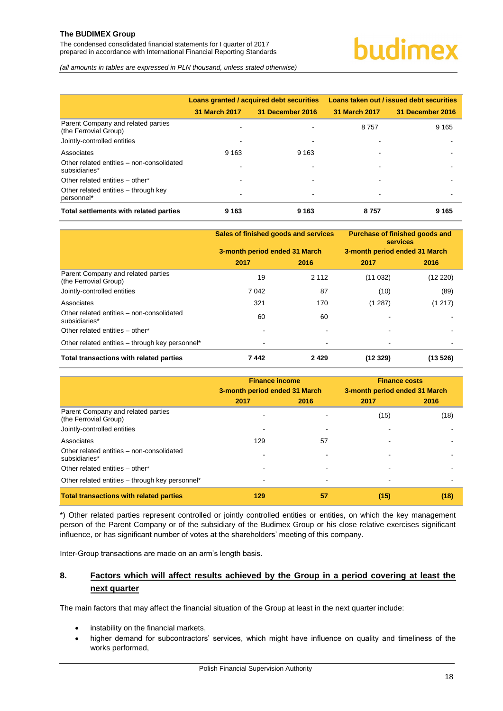The condensed consolidated financial statements for I quarter of 2017 prepared in accordance with International Financial Reporting Standards

*(all amounts in tables are expressed in PLN thousand, unless stated otherwise)*

|                                                             |               | Loans granted / acquired debt securities | Loans taken out / issued debt securities |                  |  |
|-------------------------------------------------------------|---------------|------------------------------------------|------------------------------------------|------------------|--|
|                                                             | 31 March 2017 | 31 December 2016                         | 31 March 2017                            | 31 December 2016 |  |
| Parent Company and related parties<br>(the Ferrovial Group) |               |                                          | 8757                                     | 9 1 6 5          |  |
| Jointly-controlled entities                                 |               |                                          |                                          |                  |  |
| Associates                                                  | 9 1 6 3       | 9 1 6 3                                  |                                          |                  |  |
| Other related entities - non-consolidated<br>subsidiaries*  |               |                                          | -                                        |                  |  |
| Other related entities - other*                             |               |                                          |                                          |                  |  |
| Other related entities – through key<br>personnel*          |               |                                          | -                                        |                  |  |
| Total settlements with related parties                      | 9 1 6 3       | 9 1 6 3                                  | 8757                                     | 9 1 6 5          |  |

|                                                             | Sales of finished goods and services |         | <b>Purchase of finished goods and</b><br><b>services</b> |          |
|-------------------------------------------------------------|--------------------------------------|---------|----------------------------------------------------------|----------|
|                                                             | 3-month period ended 31 March        |         | 3-month period ended 31 March                            |          |
|                                                             | 2017                                 | 2016    | 2017                                                     | 2016     |
| Parent Company and related parties<br>(the Ferrovial Group) | 19                                   | 2 1 1 2 | (11032)                                                  | (12 220) |
| Jointly-controlled entities                                 | 7 0 4 2                              | 87      | (10)                                                     | (89)     |
| Associates                                                  | 321                                  | 170     | (1287)                                                   | (1217)   |
| Other related entities - non-consolidated<br>subsidiaries*  | 60                                   | 60      |                                                          |          |
| Other related entities - other*                             |                                      |         |                                                          |          |
| Other related entities – through key personnel*             |                                      |         |                                                          |          |
| Total transactions with related parties                     | 7442                                 | 2429    | (12329)                                                  | (13526)  |

|                                                             | <b>Finance income</b><br>3-month period ended 31 March |      | <b>Finance costs</b><br>3-month period ended 31 March |      |
|-------------------------------------------------------------|--------------------------------------------------------|------|-------------------------------------------------------|------|
|                                                             | 2017                                                   | 2016 | 2017                                                  | 2016 |
| Parent Company and related parties<br>(the Ferrovial Group) |                                                        |      | (15)                                                  | (18) |
| Jointly-controlled entities                                 |                                                        |      |                                                       |      |
| Associates                                                  | 129                                                    | 57   |                                                       |      |
| Other related entities - non-consolidated<br>subsidiaries*  |                                                        |      |                                                       |      |
| Other related entities - other*                             |                                                        |      |                                                       |      |
| Other related entities - through key personnel*             |                                                        |      |                                                       |      |
| <b>Total transactions with related parties</b>              | 129                                                    | 57   | (15)                                                  | (18) |

\*) Other related parties represent controlled or jointly controlled entities or entities, on which the key management person of the Parent Company or of the subsidiary of the Budimex Group or his close relative exercises significant influence, or has significant number of votes at the shareholders' meeting of this company.

Inter-Group transactions are made on an arm's length basis.

#### <span id="page-18-0"></span>**8. Factors which will affect results achieved by the Group in a period covering at least the next quarter**

The main factors that may affect the financial situation of the Group at least in the next quarter include:

- instability on the financial markets,
- higher demand for subcontractors' services, which might have influence on quality and timeliness of the works performed,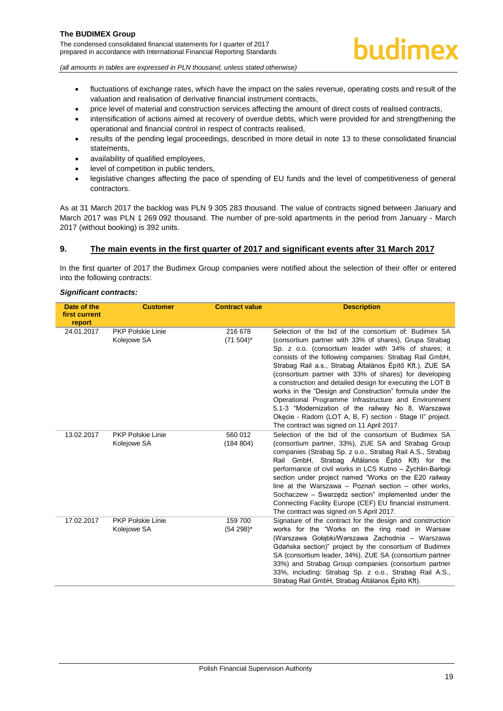The condensed consolidated financial statements for I quarter of 2017 prepared in accordance with International Financial Reporting Standards



*(all amounts in tables are expressed in PLN thousand, unless stated otherwise)*

- fluctuations of exchange rates, which have the impact on the sales revenue, operating costs and result of the valuation and realisation of derivative financial instrument contracts,
- price level of material and construction services affecting the amount of direct costs of realised contracts,
- intensification of actions aimed at recovery of overdue debts, which were provided for and strengthening the operational and financial control in respect of contracts realised,
- results of the pending legal proceedings, described in more detail in note [13](#page-21-0) to these consolidated financial statements,
- availability of qualified employees,
- level of competition in public tenders,
- legislative changes affecting the pace of spending of EU funds and the level of competitiveness of general contractors.

As at 31 March 2017 the backlog was PLN 9 305 283 thousand. The value of contracts signed between January and March 2017 was PLN 1 269 092 thousand. The number of pre-sold apartments in the period from January - March 2017 (without booking) is 392 units.

#### <span id="page-19-0"></span>**9. The main events in the first quarter of 2017 and significant events after 31 March 2017**

In the first quarter of 2017 the Budimex Group companies were notified about the selection of their offer or entered into the following contracts:

#### *Significant contracts:*

| Date of the<br>first current<br>report | <b>Customer</b>                         | <b>Contract value</b>    | <b>Description</b>                                                                                                                                                                                                                                                                                                                                                                                                                                                                                                                                                                                                                                                                                         |
|----------------------------------------|-----------------------------------------|--------------------------|------------------------------------------------------------------------------------------------------------------------------------------------------------------------------------------------------------------------------------------------------------------------------------------------------------------------------------------------------------------------------------------------------------------------------------------------------------------------------------------------------------------------------------------------------------------------------------------------------------------------------------------------------------------------------------------------------------|
| 24.01.2017                             | <b>PKP Polskie Linie</b><br>Kolejowe SA | 216 678<br>$(71\,504)^*$ | Selection of the bid of the consortium of: Budimex SA<br>(consortium partner with 33% of shares), Grupa Strabag<br>Sp. z o.o. (consortium leader with 34% of shares; it<br>consists of the following companies: Strabag Rail GmbH,<br>Strabag Rail a.s., Strabag Általános Építő Kft.), ZUE SA<br>(consortium partner with 33% of shares) for developing<br>a construction and detailed design for executing the LOT B<br>works in the "Design and Construction" formula under the<br>Operational Programme Infrastructure and Environment<br>5.1-3 "Modernization of the railway No 8, Warszawa<br>Okecie - Radom (LOT A, B, F) section - Stage II" project.<br>The contract was signed on 11 April 2017. |
| 13.02.2017                             | <b>PKP Polskie Linie</b><br>Kolejowe SA | 560 012<br>(184 804)     | Selection of the bid of the consortium of Budimex SA<br>(consortium partner, 33%), ZUE SA and Strabag Group<br>companies (Strabag Sp. z o.o., Strabag Rail A.S., Strabag<br>Rail GmbH, Strabag Altálanos Epitó Kft) for the<br>performance of civil works in LCS Kutno - Zychlin-Barłogi<br>section under project named "Works on the E20 railway<br>line at the Warszawa $-$ Poznań section $-$ other works,<br>Sochaczew - Swarzędz section" implemented under the<br>Connecting Facility Europe (CEF) EU financial instrument.<br>The contract was signed on 5 April 2017.                                                                                                                              |
| 17.02.2017                             | <b>PKP Polskie Linie</b><br>Kolejowe SA | 159 700<br>$(54298)^{*}$ | Signature of the contract for the design and construction<br>works for the "Works on the ring road in Warsaw<br>(Warszawa Gołąbki/Warszawa Zachodnia – Warszawa<br>Gdańska section)" project by the consortium of Budimex<br>SA (consortium leader, 34%), ZUE SA (consortium partner<br>33%) and Strabag Group companies (consortium partner<br>33%, including: Strabag Sp. z o.o., Strabag Rail A.S.,<br>Strabag Rail GmbH, Strabag Altálanos Épitó Kft).                                                                                                                                                                                                                                                 |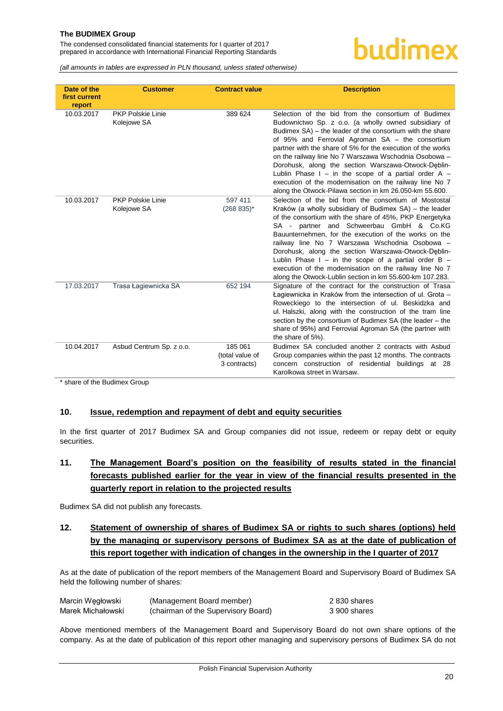The condensed consolidated financial statements for I quarter of 2017 prepared in accordance with International Financial Reporting Standards

### budimex

*(all amounts in tables are expressed in PLN thousand, unless stated otherwise)*

| Date of the<br>first current<br>report | <b>Customer</b>                         | <b>Contract value</b>                      | <b>Description</b>                                                                                                                                                                                                                                                                                                                                                                                                                                                                                                                                                                            |
|----------------------------------------|-----------------------------------------|--------------------------------------------|-----------------------------------------------------------------------------------------------------------------------------------------------------------------------------------------------------------------------------------------------------------------------------------------------------------------------------------------------------------------------------------------------------------------------------------------------------------------------------------------------------------------------------------------------------------------------------------------------|
| 10.03.2017                             | <b>PKP Polskie Linie</b><br>Kolejowe SA | 389 624                                    | Selection of the bid from the consortium of Budimex<br>Budownictwo Sp. z o.o. (a wholly owned subsidiary of<br>Budimex SA) - the leader of the consortium with the share<br>of 95% and Ferrovial Agroman SA - the consortium<br>partner with the share of 5% for the execution of the works<br>on the railway line No 7 Warszawa Wschodnia Osobowa -<br>Dorohusk, along the section Warszawa-Otwock-Deblin-<br>Lublin Phase $I - in$ the scope of a partial order A $-$<br>execution of the modernisation on the railway line No 7<br>along the Otwock-Pilawa section in km 26.050-km 55.600. |
| 10.03.2017                             | <b>PKP Polskie Linie</b><br>Kolejowe SA | 597 411<br>$(268 835)^*$                   | Selection of the bid from the consortium of Mostostal<br>Kraków (a wholly subsidiary of Budimex SA) – the leader<br>of the consortium with the share of 45%, PKP Energetyka<br>SA - partner and Schweerbau GmbH & Co.KG<br>Bauunternehmen, for the execution of the works on the<br>railway line No 7 Warszawa Wschodnia Osobowa -<br>Dorohusk, along the section Warszawa-Otwock-Deblin-<br>Lublin Phase $I - in$ the scope of a partial order $B -$<br>execution of the modernisation on the railway line No 7<br>along the Otwock-Lublin section in km 55.600-km 107.283.                  |
| 17.03.2017                             | Trasa Łagiewnicka SA                    | 652 194                                    | Signature of the contract for the construction of Trasa<br>Łagiewnicka in Kraków from the intersection of ul. Grota -<br>Roweckiego to the intersection of ul. Beskidzka and<br>ul. Halszki, along with the construction of the tram line<br>section by the consortium of Budimex SA (the leader - the<br>share of 95%) and Ferrovial Agroman SA (the partner with<br>the share of 5%).                                                                                                                                                                                                       |
| 10.04.2017                             | Asbud Centrum Sp. z o.o.                | 185 061<br>(total value of<br>3 contracts) | Budimex SA concluded another 2 contracts with Asbud<br>Group companies within the past 12 months. The contracts<br>concern construction of residential buildings at 28<br>Karolkowa street in Warsaw.                                                                                                                                                                                                                                                                                                                                                                                         |

\* share of the Budimex Group

#### <span id="page-20-0"></span>**10. Issue, redemption and repayment of debt and equity securities**

In the first quarter of 2017 Budimex SA and Group companies did not issue, redeem or repay debt or equity securities.

#### <span id="page-20-1"></span>**11. The Management Board's position on the feasibility of results stated in the financial forecasts published earlier for the year in view of the financial results presented in the quarterly report in relation to the projected results**

Budimex SA did not publish any forecasts.

#### <span id="page-20-2"></span>**12. Statement of ownership of shares of Budimex SA or rights to such shares (options) held by the managing or supervisory persons of Budimex SA as at the date of publication of this report together with indication of changes in the ownership in the I quarter of 2017**

As at the date of publication of the report members of the Management Board and Supervisory Board of Budimex SA held the following number of shares:

| Marcin Wegłowski  | (Management Board member)           | 2 830 shares |
|-------------------|-------------------------------------|--------------|
| Marek Michałowski | (chairman of the Supervisory Board) | 3 900 shares |

Above mentioned members of the Management Board and Supervisory Board do not own share options of the company. As at the date of publication of this report other managing and supervisory persons of Budimex SA do not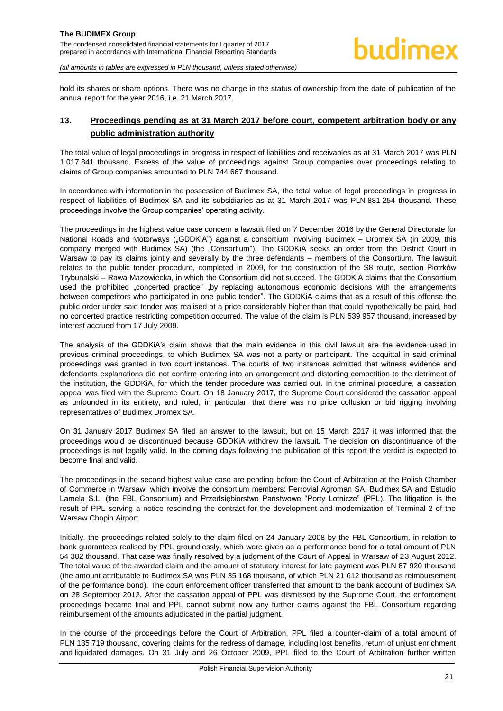hold its shares or share options. There was no change in the status of ownership from the date of publication of the annual report for the year 2016, i.e. 21 March 2017.

#### <span id="page-21-0"></span>**13. Proceedings pending as at 31 March 2017 before court, competent arbitration body or any public administration authority**

The total value of legal proceedings in progress in respect of liabilities and receivables as at 31 March 2017 was PLN 1 017 841 thousand. Excess of the value of proceedings against Group companies over proceedings relating to claims of Group companies amounted to PLN 744 667 thousand.

In accordance with information in the possession of Budimex SA, the total value of legal proceedings in progress in respect of liabilities of Budimex SA and its subsidiaries as at 31 March 2017 was PLN 881 254 thousand. These proceedings involve the Group companies' operating activity.

The proceedings in the highest value case concern a lawsuit filed on 7 December 2016 by the General Directorate for National Roads and Motorways ("GDDKiA") against a consortium involving Budimex – Dromex SA (in 2009, this company merged with Budimex SA) (the "Consortium"). The GDDKiA seeks an order from the District Court in Warsaw to pay its claims jointly and severally by the three defendants – members of the Consortium. The lawsuit relates to the public tender procedure, completed in 2009, for the construction of the S8 route, section Piotrków Trybunalski – Rawa Mazowiecka, in which the Consortium did not succeed. The GDDKiA claims that the Consortium used the prohibited "concerted practice" "by replacing autonomous economic decisions with the arrangements between competitors who participated in one public tender". The GDDKiA claims that as a result of this offense the public order under said tender was realised at a price considerably higher than that could hypothetically be paid, had no concerted practice restricting competition occurred. The value of the claim is PLN 539 957 thousand, increased by interest accrued from 17 July 2009.

The analysis of the GDDKiA's claim shows that the main evidence in this civil lawsuit are the evidence used in previous criminal proceedings, to which Budimex SA was not a party or participant. The acquittal in said criminal proceedings was granted in two court instances. The courts of two instances admitted that witness evidence and defendants explanations did not confirm entering into an arrangement and distorting competition to the detriment of the institution, the GDDKiA, for which the tender procedure was carried out. In the criminal procedure, a cassation appeal was filed with the Supreme Court. On 18 January 2017, the Supreme Court considered the cassation appeal as unfounded in its entirety, and ruled, in particular, that there was no price collusion or bid rigging involving representatives of Budimex Dromex SA.

On 31 January 2017 Budimex SA filed an answer to the lawsuit, but on 15 March 2017 it was informed that the proceedings would be discontinued because GDDKiA withdrew the lawsuit. The decision on discontinuance of the proceedings is not legally valid. In the coming days following the publication of this report the verdict is expected to become final and valid.

The proceedings in the second highest value case are pending before the Court of Arbitration at the Polish Chamber of Commerce in Warsaw, which involve the consortium members: Ferrovial Agroman SA, Budimex SA and Estudio Lamela S.L. (the FBL Consortium) and Przedsiębiorstwo Państwowe "Porty Lotnicze" (PPL). The litigation is the result of PPL serving a notice rescinding the contract for the development and modernization of Terminal 2 of the Warsaw Chopin Airport.

Initially, the proceedings related solely to the claim filed on 24 January 2008 by the FBL Consortium, in relation to bank guarantees realised by PPL groundlessly, which were given as a performance bond for a total amount of PLN 54 382 thousand. That case was finally resolved by a judgment of the Court of Appeal in Warsaw of 23 August 2012. The total value of the awarded claim and the amount of statutory interest for late payment was PLN 87 920 thousand (the amount attributable to Budimex SA was PLN 35 168 thousand, of which PLN 21 612 thousand as reimbursement of the performance bond). The court enforcement officer transferred that amount to the bank account of Budimex SA on 28 September 2012. After the cassation appeal of PPL was dismissed by the Supreme Court, the enforcement proceedings became final and PPL cannot submit now any further claims against the FBL Consortium regarding reimbursement of the amounts adjudicated in the partial judgment.

In the course of the proceedings before the Court of Arbitration, PPL filed a counter-claim of a total amount of PLN 135 719 thousand, covering claims for the redress of damage, including lost benefits, return of unjust enrichment and liquidated damages. On 31 July and 26 October 2009, PPL filed to the Court of Arbitration further written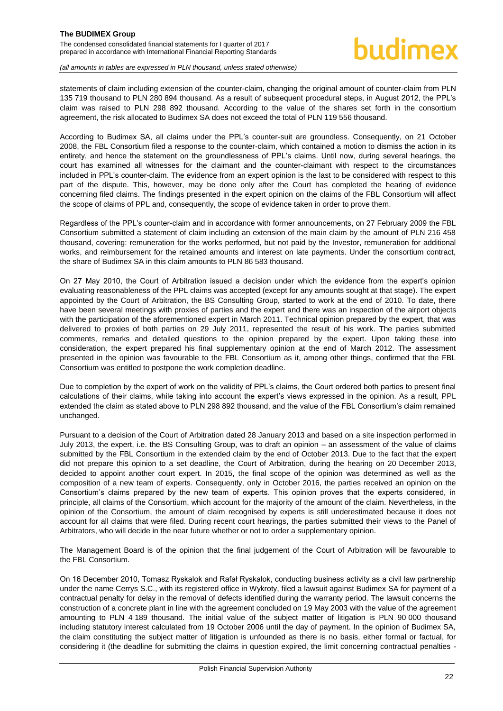statements of claim including extension of the counter-claim, changing the original amount of counter-claim from PLN 135 719 thousand to PLN 280 894 thousand. As a result of subsequent procedural steps, in August 2012, the PPL's claim was raised to PLN 298 892 thousand. According to the value of the shares set forth in the consortium agreement, the risk allocated to Budimex SA does not exceed the total of PLN 119 556 thousand.

According to Budimex SA, all claims under the PPL's counter-suit are groundless. Consequently, on 21 October 2008, the FBL Consortium filed a response to the counter-claim, which contained a motion to dismiss the action in its entirety, and hence the statement on the groundlessness of PPL's claims. Until now, during several hearings, the court has examined all witnesses for the claimant and the counter-claimant with respect to the circumstances included in PPL's counter-claim. The evidence from an expert opinion is the last to be considered with respect to this part of the dispute. This, however, may be done only after the Court has completed the hearing of evidence concerning filed claims. The findings presented in the expert opinion on the claims of the FBL Consortium will affect the scope of claims of PPL and, consequently, the scope of evidence taken in order to prove them.

Regardless of the PPL's counter-claim and in accordance with former announcements, on 27 February 2009 the FBL Consortium submitted a statement of claim including an extension of the main claim by the amount of PLN 216 458 thousand, covering: remuneration for the works performed, but not paid by the Investor, remuneration for additional works, and reimbursement for the retained amounts and interest on late payments. Under the consortium contract, the share of Budimex SA in this claim amounts to PLN 86 583 thousand.

On 27 May 2010, the Court of Arbitration issued a decision under which the evidence from the expert's opinion evaluating reasonableness of the PPL claims was accepted (except for any amounts sought at that stage). The expert appointed by the Court of Arbitration, the BS Consulting Group, started to work at the end of 2010. To date, there have been several meetings with proxies of parties and the expert and there was an inspection of the airport objects with the participation of the aforementioned expert in March 2011. Technical opinion prepared by the expert, that was delivered to proxies of both parties on 29 July 2011, represented the result of his work. The parties submitted comments, remarks and detailed questions to the opinion prepared by the expert. Upon taking these into consideration, the expert prepared his final supplementary opinion at the end of March 2012. The assessment presented in the opinion was favourable to the FBL Consortium as it, among other things, confirmed that the FBL Consortium was entitled to postpone the work completion deadline.

Due to completion by the expert of work on the validity of PPL's claims, the Court ordered both parties to present final calculations of their claims, while taking into account the expert's views expressed in the opinion. As a result, PPL extended the claim as stated above to PLN 298 892 thousand, and the value of the FBL Consortium's claim remained unchanged.

Pursuant to a decision of the Court of Arbitration dated 28 January 2013 and based on a site inspection performed in July 2013, the expert, i.e. the BS Consulting Group, was to draft an opinion – an assessment of the value of claims submitted by the FBL Consortium in the extended claim by the end of October 2013. Due to the fact that the expert did not prepare this opinion to a set deadline, the Court of Arbitration, during the hearing on 20 December 2013, decided to appoint another court expert. In 2015, the final scope of the opinion was determined as well as the composition of a new team of experts. Consequently, only in October 2016, the parties received an opinion on the Consortium's claims prepared by the new team of experts. This opinion proves that the experts considered, in principle, all claims of the Consortium, which account for the majority of the amount of the claim. Nevertheless, in the opinion of the Consortium, the amount of claim recognised by experts is still underestimated because it does not account for all claims that were filed. During recent court hearings, the parties submitted their views to the Panel of Arbitrators, who will decide in the near future whether or not to order a supplementary opinion.

The Management Board is of the opinion that the final judgement of the Court of Arbitration will be favourable to the FBL Consortium.

On 16 December 2010, Tomasz Ryskalok and Rafał Ryskalok, conducting business activity as a civil law partnership under the name Cerrys S.C., with its registered office in Wykroty, filed a lawsuit against Budimex SA for payment of a contractual penalty for delay in the removal of defects identified during the warranty period. The lawsuit concerns the construction of a concrete plant in line with the agreement concluded on 19 May 2003 with the value of the agreement amounting to PLN 4 189 thousand. The initial value of the subject matter of litigation is PLN 90 000 thousand including statutory interest calculated from 19 October 2006 until the day of payment. In the opinion of Budimex SA, the claim constituting the subject matter of litigation is unfounded as there is no basis, either formal or factual, for considering it (the deadline for submitting the claims in question expired, the limit concerning contractual penalties -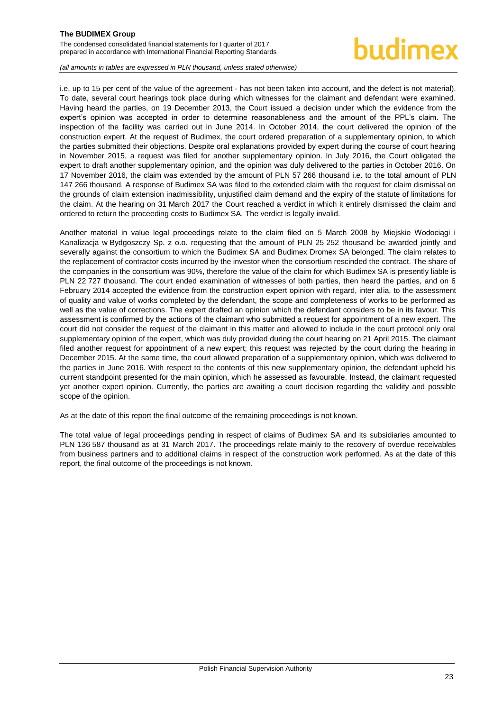## hudimex

*(all amounts in tables are expressed in PLN thousand, unless stated otherwise)*

i.e. up to 15 per cent of the value of the agreement - has not been taken into account, and the defect is not material). To date, several court hearings took place during which witnesses for the claimant and defendant were examined. Having heard the parties, on 19 December 2013, the Court issued a decision under which the evidence from the expert's opinion was accepted in order to determine reasonableness and the amount of the PPL's claim. The inspection of the facility was carried out in June 2014. In October 2014, the court delivered the opinion of the construction expert. At the request of Budimex, the court ordered preparation of a supplementary opinion, to which the parties submitted their objections. Despite oral explanations provided by expert during the course of court hearing in November 2015, a request was filed for another supplementary opinion. In July 2016, the Court obligated the expert to draft another supplementary opinion, and the opinion was duly delivered to the parties in October 2016. On 17 November 2016, the claim was extended by the amount of PLN 57 266 thousand i.e. to the total amount of PLN 147 266 thousand. A response of Budimex SA was filed to the extended claim with the request for claim dismissal on the grounds of claim extension inadmissibility, unjustified claim demand and the expiry of the statute of limitations for the claim. At the hearing on 31 March 2017 the Court reached a verdict in which it entirely dismissed the claim and ordered to return the proceeding costs to Budimex SA. The verdict is legally invalid.

Another material in value legal proceedings relate to the claim filed on 5 March 2008 by Miejskie Wodociągi i Kanalizacja w Bydgoszczy Sp. z o.o. requesting that the amount of PLN 25 252 thousand be awarded jointly and severally against the consortium to which the Budimex SA and Budimex Dromex SA belonged. The claim relates to the replacement of contractor costs incurred by the investor when the consortium rescinded the contract. The share of the companies in the consortium was 90%, therefore the value of the claim for which Budimex SA is presently liable is PLN 22 727 thousand. The court ended examination of witnesses of both parties, then heard the parties, and on 6 February 2014 accepted the evidence from the construction expert opinion with regard, inter alia, to the assessment of quality and value of works completed by the defendant, the scope and completeness of works to be performed as well as the value of corrections. The expert drafted an opinion which the defendant considers to be in its favour. This assessment is confirmed by the actions of the claimant who submitted a request for appointment of a new expert. The court did not consider the request of the claimant in this matter and allowed to include in the court protocol only oral supplementary opinion of the expert, which was duly provided during the court hearing on 21 April 2015. The claimant filed another request for appointment of a new expert; this request was rejected by the court during the hearing in December 2015. At the same time, the court allowed preparation of a supplementary opinion, which was delivered to the parties in June 2016. With respect to the contents of this new supplementary opinion, the defendant upheld his current standpoint presented for the main opinion, which he assessed as favourable. Instead, the claimant requested yet another expert opinion. Currently, the parties are awaiting a court decision regarding the validity and possible scope of the opinion.

As at the date of this report the final outcome of the remaining proceedings is not known.

<span id="page-23-0"></span>The total value of legal proceedings pending in respect of claims of Budimex SA and its subsidiaries amounted to PLN 136 587 thousand as at 31 March 2017. The proceedings relate mainly to the recovery of overdue receivables from business partners and to additional claims in respect of the construction work performed. As at the date of this report, the final outcome of the proceedings is not known.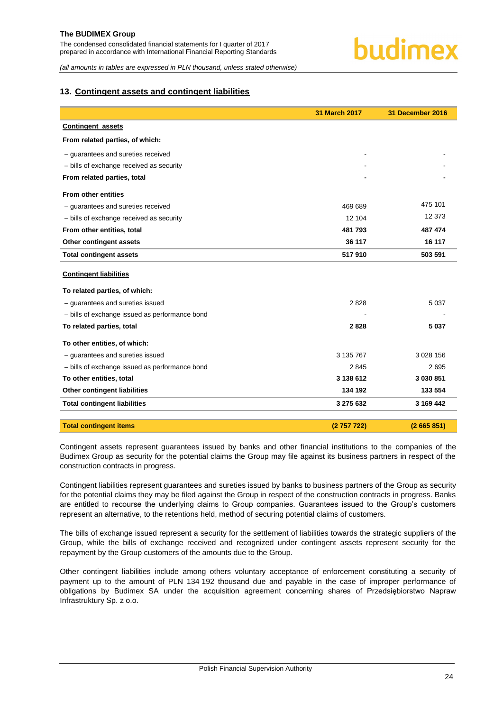#### **13. Contingent assets and contingent liabilities**

|                                                | <b>31 March 2017</b> | 31 December 2016 |
|------------------------------------------------|----------------------|------------------|
| <b>Contingent assets</b>                       |                      |                  |
| From related parties, of which:                |                      |                  |
| - guarantees and sureties received             |                      |                  |
| - bills of exchange received as security       |                      |                  |
| From related parties, total                    |                      |                  |
| <b>From other entities</b>                     |                      |                  |
| - guarantees and sureties received             | 469 689              | 475 101          |
| - bills of exchange received as security       | 12 104               | 12 373           |
| From other entities, total                     | 481793               | 487 474          |
| Other contingent assets                        | 36 117               | 16 117           |
| <b>Total contingent assets</b>                 | 517910               | 503 591          |
| <b>Contingent liabilities</b>                  |                      |                  |
| To related parties, of which:                  |                      |                  |
| - quarantees and sureties issued               | 2828                 | 5 0 3 7          |
| - bills of exchange issued as performance bond |                      |                  |
| To related parties, total                      | 2828                 | 5 0 3 7          |
| To other entities, of which:                   |                      |                  |
| - quarantees and sureties issued               | 3 135 767            | 3 0 28 1 56      |
| - bills of exchange issued as performance bond | 2845                 | 2695             |
| To other entities, total                       | 3 138 612            | 3 030 851        |
| <b>Other contingent liabilities</b>            | 134 192              | 133 554          |
| <b>Total contingent liabilities</b>            | 3 275 632            | 3 169 442        |
| <b>Total contingent items</b>                  | (2757722)            | (2665851)        |

Contingent assets represent guarantees issued by banks and other financial institutions to the companies of the Budimex Group as security for the potential claims the Group may file against its business partners in respect of the construction contracts in progress.

Contingent liabilities represent guarantees and sureties issued by banks to business partners of the Group as security for the potential claims they may be filed against the Group in respect of the construction contracts in progress. Banks are entitled to recourse the underlying claims to Group companies. Guarantees issued to the Group's customers represent an alternative, to the retentions held, method of securing potential claims of customers.

The bills of exchange issued represent a security for the settlement of liabilities towards the strategic suppliers of the Group, while the bills of exchange received and recognized under contingent assets represent security for the repayment by the Group customers of the amounts due to the Group.

Other contingent liabilities include among others voluntary acceptance of enforcement constituting a security of payment up to the amount of PLN 134 192 thousand due and payable in the case of improper performance of obligations by Budimex SA under the acquisition agreement concerning shares of Przedsiębiorstwo Napraw Infrastruktury Sp. z o.o.